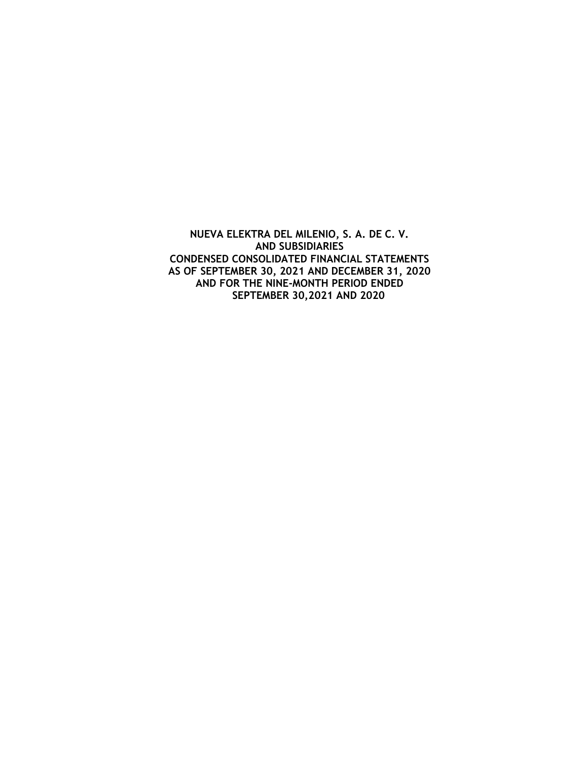**NUEVA ELEKTRA DEL MILENIO, S. A. DE C. V. AND SUBSIDIARIES CONDENSED CONSOLIDATED FINANCIAL STATEMENTS AS OF SEPTEMBER 30, 2021 AND DECEMBER 31, 2020 AND FOR THE NINE-MONTH PERIOD ENDED SEPTEMBER 30,2021 AND 2020**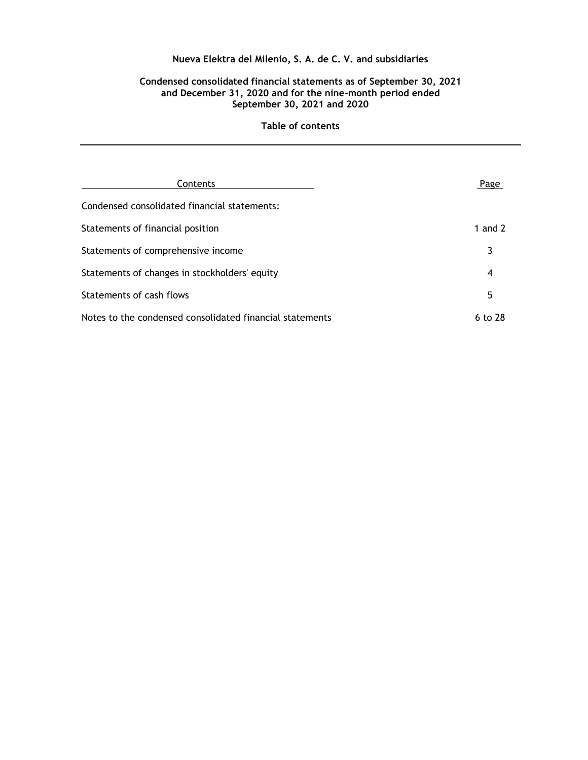### **Condensed consolidated financial statements as of September 30, 2021 and December 31, 2020 and for the nine-month period ended September 30, 2021 and 2020**

| Contents                                                 | Page      |
|----------------------------------------------------------|-----------|
| Condensed consolidated financial statements:             |           |
| Statements of financial position                         | 1 and $2$ |
| Statements of comprehensive income                       |           |
| Statements of changes in stockholders' equity            | 4         |
| <b>Statements of cash flows</b>                          | 5         |
| Notes to the condensed consolidated financial statements | 6 to 28   |

### **Table of contents**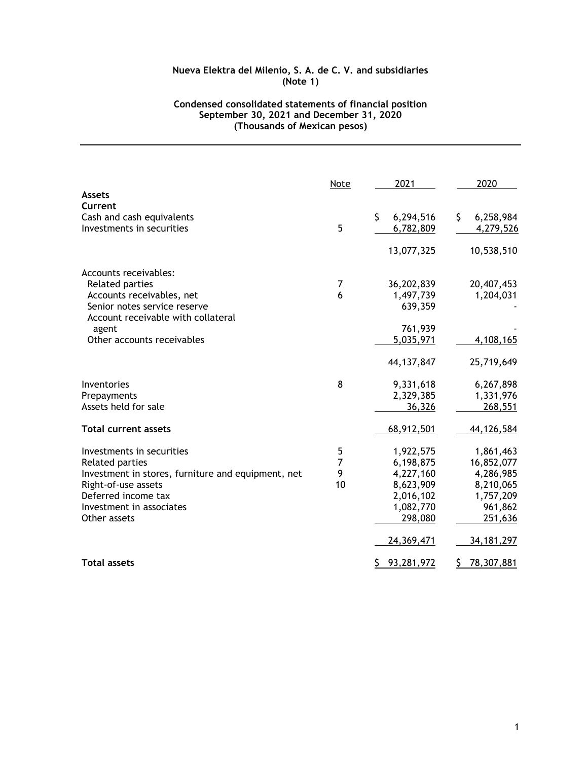# **Condensed consolidated statements of financial position September 30, 2021 and December 31, 2020 (Thousands of Mexican pesos)**

|                                                    | Note | 2021            | 2020             |
|----------------------------------------------------|------|-----------------|------------------|
| <b>Assets</b>                                      |      |                 |                  |
| Current                                            |      |                 |                  |
| Cash and cash equivalents                          |      | \$<br>6,294,516 | \$.<br>6,258,984 |
| Investments in securities                          | 5    | 6,782,809       | 4,279,526        |
|                                                    |      | 13,077,325      | 10,538,510       |
| Accounts receivables:                              |      |                 |                  |
| <b>Related parties</b>                             | 7    | 36,202,839      | 20,407,453       |
| Accounts receivables, net                          | 6    | 1,497,739       | 1,204,031        |
| Senior notes service reserve                       |      | 639,359         |                  |
| Account receivable with collateral                 |      |                 |                  |
| agent                                              |      | 761,939         |                  |
| Other accounts receivables                         |      | 5,035,971       | 4,108,165        |
|                                                    |      | 44,137,847      | 25,719,649       |
| Inventories                                        | 8    | 9,331,618       | 6,267,898        |
| Prepayments                                        |      | 2,329,385       | 1,331,976        |
| Assets held for sale                               |      | 36,326          | 268,551          |
| <b>Total current assets</b>                        |      | 68,912,501      | 44,126,584       |
| Investments in securities                          | 5    | 1,922,575       | 1,861,463        |
| <b>Related parties</b>                             | 7    | 6,198,875       | 16,852,077       |
| Investment in stores, furniture and equipment, net | 9    | 4,227,160       | 4,286,985        |
| Right-of-use assets                                | 10   | 8,623,909       | 8,210,065        |
| Deferred income tax                                |      | 2,016,102       | 1,757,209        |
| Investment in associates                           |      | 1,082,770       | 961,862          |
| Other assets                                       |      | 298,080         | 251,636          |
|                                                    |      | 24,369,471      | 34, 181, 297     |
| <b>Total assets</b>                                |      | 93,281,972<br>S | 78,307,881       |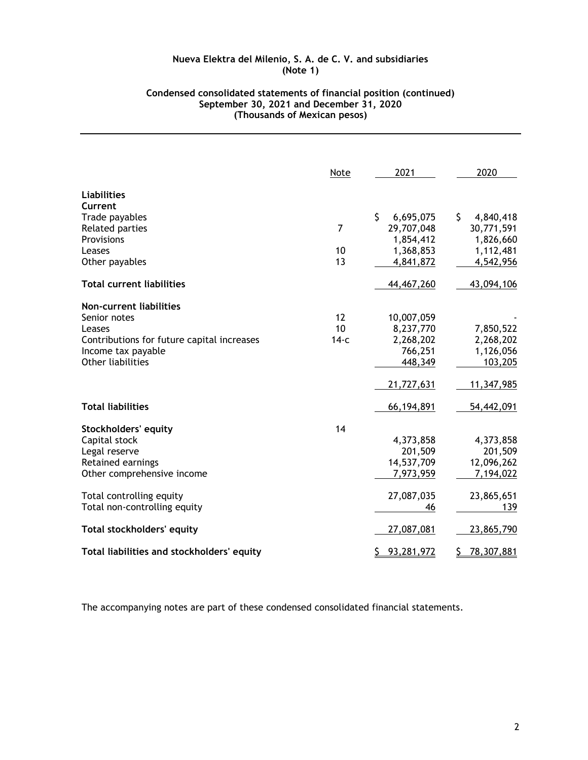### **Condensed consolidated statements of financial position (continued) September 30, 2021 and December 31, 2020 (Thousands of Mexican pesos)**

|                                            | Note           | 2021            | 2020            |
|--------------------------------------------|----------------|-----------------|-----------------|
| <b>Liabilities</b>                         |                |                 |                 |
| Current                                    |                |                 |                 |
| Trade payables                             |                | \$<br>6,695,075 | \$<br>4,840,418 |
| <b>Related parties</b>                     | $\overline{7}$ | 29,707,048      | 30,771,591      |
| Provisions                                 |                | 1,854,412       | 1,826,660       |
| Leases                                     | 10             | 1,368,853       | 1,112,481       |
| Other payables                             | 13             | 4,841,872       | 4,542,956       |
| <b>Total current liabilities</b>           |                | 44,467,260      | 43,094,106      |
| <b>Non-current liabilities</b>             |                |                 |                 |
| Senior notes                               | 12             | 10,007,059      |                 |
| Leases                                     | 10             | 8,237,770       | 7,850,522       |
| Contributions for future capital increases | $14-c$         | 2,268,202       | 2,268,202       |
| Income tax payable                         |                | 766,251         | 1,126,056       |
| Other liabilities                          |                | 448,349         | 103,205         |
|                                            |                | 21,727,631      | 11,347,985      |
| <b>Total liabilities</b>                   |                | 66,194,891      | 54,442,091      |
| <b>Stockholders' equity</b>                | 14             |                 |                 |
| Capital stock                              |                | 4,373,858       | 4,373,858       |
| Legal reserve                              |                | 201,509         | 201,509         |
| Retained earnings                          |                | 14,537,709      | 12,096,262      |
| Other comprehensive income                 |                | 7,973,959       | 7,194,022       |
| Total controlling equity                   |                | 27,087,035      | 23,865,651      |
| Total non-controlling equity               |                | 46              | 139             |
| <b>Total stockholders' equity</b>          |                | 27,087,081      | 23,865,790      |
| Total liabilities and stockholders' equity |                | 93,281,972<br>S | 78,307,881<br>S |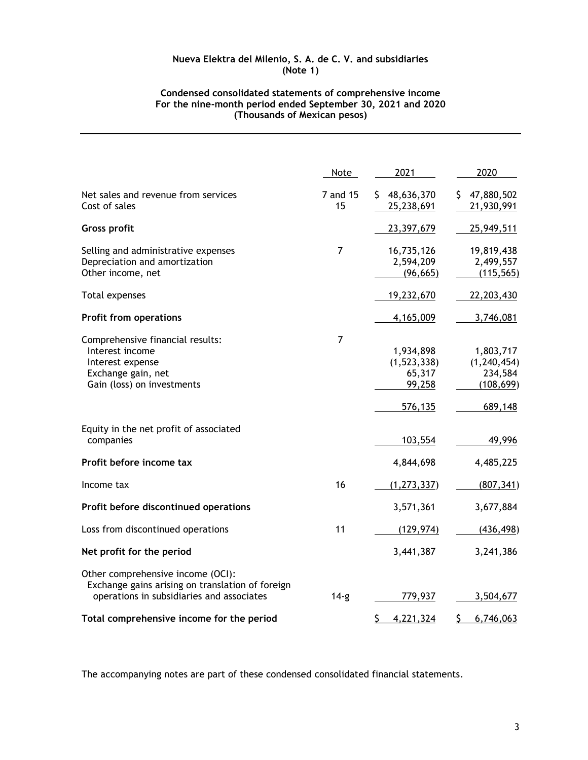### **Condensed consolidated statements of comprehensive income For the nine-month period ended September 30, 2021 and 2020 (Thousands of Mexican pesos)**

|                                                                                                                                    | Note           | 2021                                                      | 2020                                                           |
|------------------------------------------------------------------------------------------------------------------------------------|----------------|-----------------------------------------------------------|----------------------------------------------------------------|
| Net sales and revenue from services<br>Cost of sales                                                                               | 7 and 15<br>15 | \$48,636,370<br>25,238,691                                | 47,880,502<br>S.<br>21,930,991                                 |
| <b>Gross profit</b>                                                                                                                |                | 23,397,679                                                | 25,949,511                                                     |
| Selling and administrative expenses<br>Depreciation and amortization<br>Other income, net                                          | 7              | 16,735,126<br>2,594,209<br>(96, 665)                      | 19,819,438<br>2,499,557<br>(115, 565)                          |
| Total expenses                                                                                                                     |                | 19,232,670                                                | 22,203,430                                                     |
| <b>Profit from operations</b>                                                                                                      |                | 4,165,009                                                 | 3,746,081                                                      |
| Comprehensive financial results:<br>Interest income<br>Interest expense<br>Exchange gain, net<br>Gain (loss) on investments        | 7              | 1,934,898<br>(1, 523, 338)<br>65,317<br>99,258<br>576,135 | 1,803,717<br>(1, 240, 454)<br>234,584<br>(108, 699)<br>689,148 |
| Equity in the net profit of associated<br>companies                                                                                |                | 103,554                                                   | 49,996                                                         |
| Profit before income tax                                                                                                           |                | 4,844,698                                                 | 4,485,225                                                      |
| Income tax                                                                                                                         | 16             | (1, 273, 337)                                             | (807, 341)                                                     |
| Profit before discontinued operations                                                                                              |                | 3,571,361                                                 | 3,677,884                                                      |
| Loss from discontinued operations                                                                                                  | 11             | (129, 974)                                                | (436, 498)                                                     |
| Net profit for the period                                                                                                          |                | 3,441,387                                                 | 3,241,386                                                      |
| Other comprehensive income (OCI):<br>Exchange gains arising on translation of foreign<br>operations in subsidiaries and associates | $14-g$         | 779,937                                                   | 3,504,677                                                      |
| Total comprehensive income for the period                                                                                          |                | 4,221,324<br>Ş.                                           | 6,746,063<br>Ş.                                                |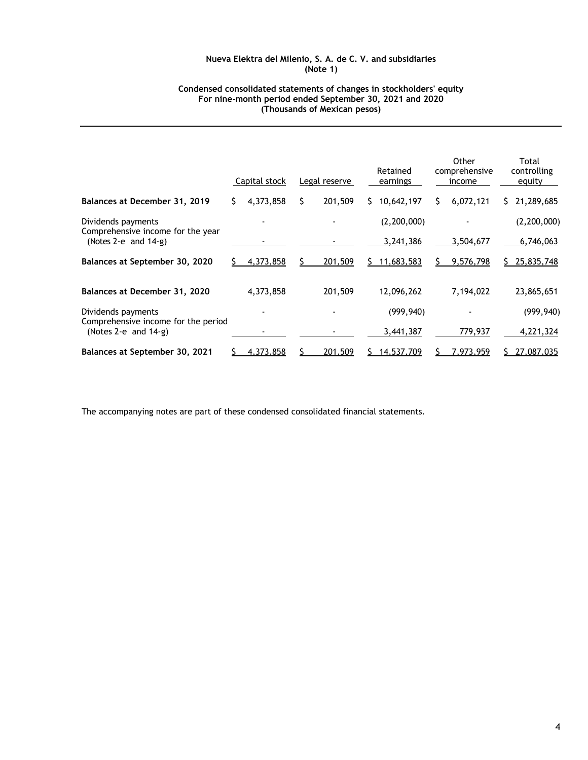#### **Condensed consolidated statements of changes in stockholders' equity For nine-month period ended September 30, 2021 and 2020 (Thousands of Mexican pesos)**

|                                                                |   | Capital stock | Legal reserve |   | Retained<br>earnings |   | Other<br>comprehensive<br>income | Total<br>controlling<br>equity |
|----------------------------------------------------------------|---|---------------|---------------|---|----------------------|---|----------------------------------|--------------------------------|
| Balances at December 31, 2019                                  | S | 4,373,858     | \$<br>201,509 | S | 10,642,197           | S | 6,072,121                        | \$21,289,685                   |
| Dividends payments<br>Comprehensive income for the year        |   |               |               |   | (2, 200, 000)        |   |                                  | (2, 200, 000)                  |
| (Notes 2-e and $14-g$ )                                        |   |               |               |   | 3,241,386            |   | 3,504,677                        | 6,746,063                      |
| Balances at September 30, 2020                                 |   | 4,373,858     | 201,509       |   | 11,683,583           |   | 9,576,798                        | 25,835,748                     |
| Balances at December 31, 2020                                  |   | 4,373,858     | 201,509       |   | 12,096,262           |   | 7,194,022                        | 23,865,651                     |
| Dividends payments                                             |   |               |               |   | (999, 940)           |   |                                  | (999, 940)                     |
| Comprehensive income for the period<br>(Notes 2-e and $14-g$ ) |   |               |               |   | 3,441,387            |   | 779,937                          | 4,221,324                      |
| Balances at September 30, 2021                                 |   | 4,373,858     | 201,509       |   | 14,537,709           |   | 7,973,959                        | 27,087,035                     |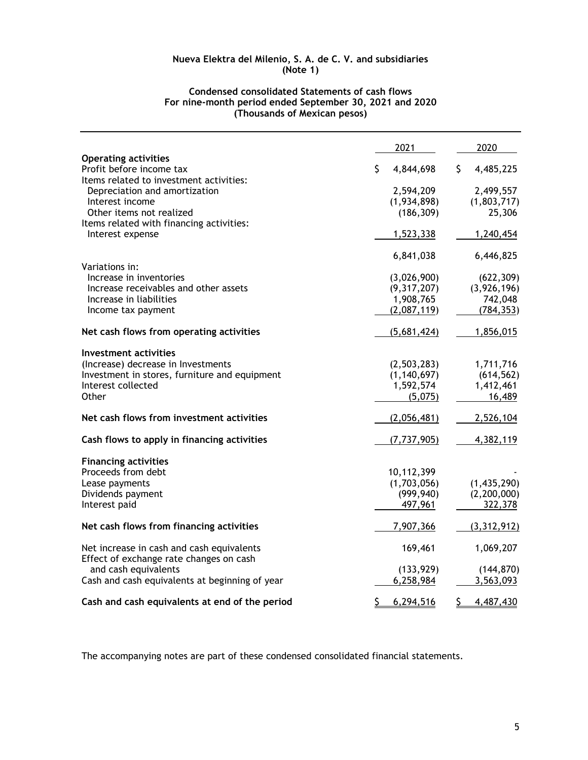|                                                                                      | 2021            | 2020            |
|--------------------------------------------------------------------------------------|-----------------|-----------------|
| <b>Operating activities</b>                                                          |                 |                 |
| Profit before income tax                                                             | \$<br>4,844,698 | 4,485,225<br>\$ |
| Items related to investment activities:                                              |                 |                 |
| Depreciation and amortization                                                        | 2,594,209       | 2,499,557       |
| Interest income                                                                      | (1,934,898)     | (1,803,717)     |
| Other items not realized                                                             | (186, 309)      | 25,306          |
| Items related with financing activities:                                             |                 |                 |
| Interest expense                                                                     | 1,523,338       | 1,240,454       |
|                                                                                      | 6,841,038       | 6,446,825       |
| Variations in:                                                                       |                 |                 |
| Increase in inventories                                                              | (3,026,900)     | (622, 309)      |
| Increase receivables and other assets                                                | (9,317,207)     | (3,926,196)     |
| Increase in liabilities                                                              | 1,908,765       | 742,048         |
| Income tax payment                                                                   | (2,087,119)     | (784, 353)      |
| Net cash flows from operating activities                                             | (5,681,424)     | 1,856,015       |
| Investment activities                                                                |                 |                 |
| (Increase) decrease in Investments                                                   | (2,503,283)     | 1,711,716       |
| Investment in stores, furniture and equipment                                        | (1, 140, 697)   | (614, 562)      |
| Interest collected                                                                   | 1,592,574       | 1,412,461       |
| Other                                                                                | (5,075)         | 16,489          |
| Net cash flows from investment activities                                            | (2,056,481)     | 2,526,104       |
| Cash flows to apply in financing activities                                          | (7, 737, 905)   | 4,382,119       |
| <b>Financing activities</b>                                                          |                 |                 |
| Proceeds from debt                                                                   | 10,112,399      |                 |
| Lease payments                                                                       | (1,703,056)     | (1,435,290)     |
| Dividends payment                                                                    | (999, 940)      | (2, 200, 000)   |
| Interest paid                                                                        | 497,961         | 322,378         |
| Net cash flows from financing activities                                             | 7,907,366       | (3, 312, 912)   |
|                                                                                      |                 |                 |
| Net increase in cash and cash equivalents<br>Effect of exchange rate changes on cash | 169,461         | 1,069,207       |
| and cash equivalents                                                                 | (133, 929)      | (144, 870)      |
| Cash and cash equivalents at beginning of year                                       | 6,258,984       | 3,563,093       |
|                                                                                      |                 |                 |
| Cash and cash equivalents at end of the period                                       | \$<br>6,294,516 | \$<br>4,487,430 |

### **Condensed consolidated Statements of cash flows For nine-month period ended September 30, 2021 and 2020 (Thousands of Mexican pesos)**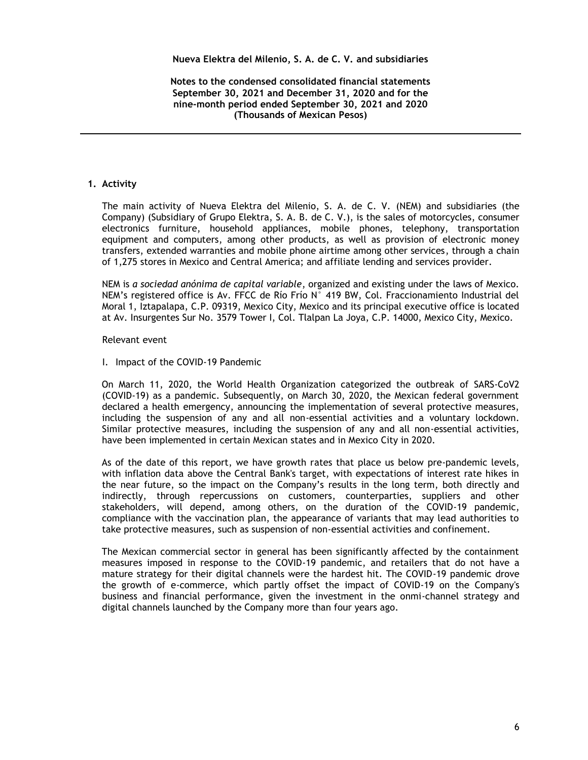**Notes to the condensed consolidated financial statements September 30, 2021 and December 31, 2020 and for the nine-month period ended September 30, 2021 and 2020 (Thousands of Mexican Pesos)**

# **1. Activity**

The main activity of Nueva Elektra del Milenio, S. A. de C. V. (NEM) and subsidiaries (the Company) (Subsidiary of Grupo Elektra, S. A. B. de C. V.), is the sales of motorcycles, consumer electronics furniture, household appliances, mobile phones, telephony, transportation equipment and computers, among other products, as well as provision of electronic money transfers, extended warranties and mobile phone airtime among other services, through a chain of 1,275 stores in Mexico and Central America; and affiliate lending and services provider.

NEM is *a sociedad anόnima de capital variable*, organized and existing under the laws of Mexico. NEM's registered office is Av. FFCC de Río Frío N° 419 BW, Col. Fraccionamiento Industrial del Moral 1, Iztapalapa, C.P. 09319, Mexico City, Mexico and its principal executive office is located at Av. Insurgentes Sur No. 3579 Tower I, Col. Tlalpan La Joya, C.P. 14000, Mexico City, Mexico.

Relevant event

I. Impact of the COVID-19 Pandemic

 On March 11, 2020, the World Health Organization categorized the outbreak of SARS-CoV2 (COVID-19) as a pandemic. Subsequently, on March 30, 2020, the Mexican federal government declared a health emergency, announcing the implementation of several protective measures, including the suspension of any and all non-essential activities and a voluntary lockdown. Similar protective measures, including the suspension of any and all non-essential activities, have been implemented in certain Mexican states and in Mexico City in 2020.

 As of the date of this report, we have growth rates that place us below pre-pandemic levels, with inflation data above the Central Bank's target, with expectations of interest rate hikes in the near future, so the impact on the Company's results in the long term, both directly and indirectly, through repercussions on customers, counterparties, suppliers and other stakeholders, will depend, among others, on the duration of the COVID-19 pandemic, compliance with the vaccination plan, the appearance of variants that may lead authorities to take protective measures, such as suspension of non-essential activities and confinement.

 The Mexican commercial sector in general has been significantly affected by the containment measures imposed in response to the COVID-19 pandemic, and retailers that do not have a mature strategy for their digital channels were the hardest hit. The COVID-19 pandemic drove the growth of e-commerce, which partly offset the impact of COVID-19 on the Company's business and financial performance, given the investment in the onmi-channel strategy and digital channels launched by the Company more than four years ago.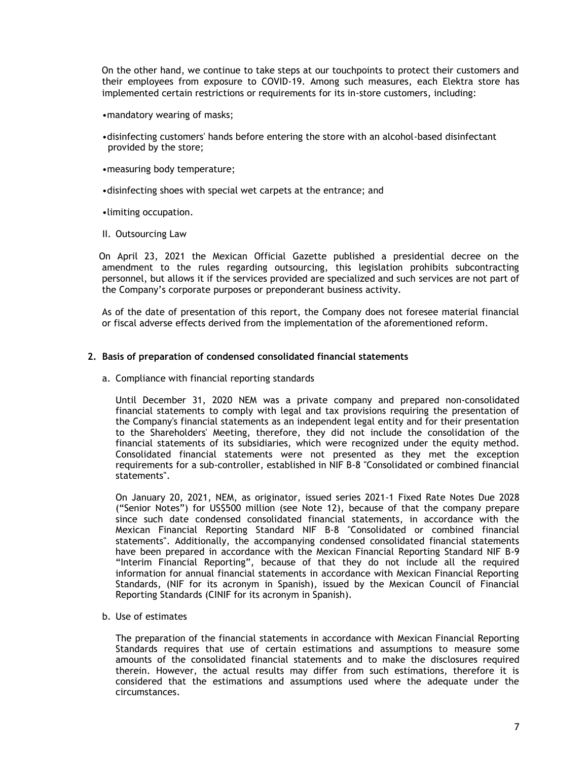On the other hand, we continue to take steps at our touchpoints to protect their customers and their employees from exposure to COVID-19. Among such measures, each Elektra store has implemented certain restrictions or requirements for its in-store customers, including:

•mandatory wearing of masks;

- •disinfecting customers' hands before entering the store with an alcohol-based disinfectant provided by the store;
- •measuring body temperature;
- •disinfecting shoes with special wet carpets at the entrance; and

•limiting occupation.

II. Outsourcing Law

 On April 23, 2021 the Mexican Official Gazette published a presidential decree on the amendment to the rules regarding outsourcing, this legislation prohibits subcontracting personnel, but allows it if the services provided are specialized and such services are not part of the Company's corporate purposes or preponderant business activity.

As of the date of presentation of this report, the Company does not foresee material financial or fiscal adverse effects derived from the implementation of the aforementioned reform.

### **2. Basis of preparation of condensed consolidated financial statements**

a. Compliance with financial reporting standards

Until December 31, 2020 NEM was a private company and prepared non-consolidated financial statements to comply with legal and tax provisions requiring the presentation of the Company's financial statements as an independent legal entity and for their presentation to the Shareholders' Meeting, therefore, they did not include the consolidation of the financial statements of its subsidiaries, which were recognized under the equity method. Consolidated financial statements were not presented as they met the exception requirements for a sub-controller, established in NIF B-8 "Consolidated or combined financial statements".

On January 20, 2021, NEM, as originator, issued series 2021-1 Fixed Rate Notes Due 2028 ("Senior Notes") for US\$500 million (see Note 12), because of that the company prepare since such date condensed consolidated financial statements, in accordance with the Mexican Financial Reporting Standard NIF B-8 "Consolidated or combined financial statements". Additionally, the accompanying condensed consolidated financial statements have been prepared in accordance with the Mexican Financial Reporting Standard NIF B-9 "Interim Financial Reporting", because of that they do not include all the required information for annual financial statements in accordance with Mexican Financial Reporting Standards, (NIF for its acronym in Spanish), issued by the Mexican Council of Financial Reporting Standards (CINIF for its acronym in Spanish).

b. Use of estimates

The preparation of the financial statements in accordance with Mexican Financial Reporting Standards requires that use of certain estimations and assumptions to measure some amounts of the consolidated financial statements and to make the disclosures required therein. However, the actual results may differ from such estimations, therefore it is considered that the estimations and assumptions used where the adequate under the circumstances.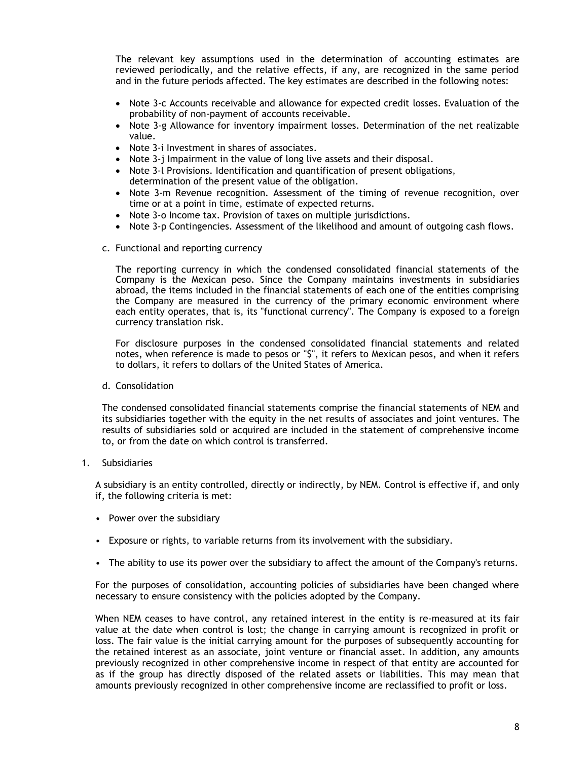The relevant key assumptions used in the determination of accounting estimates are reviewed periodically, and the relative effects, if any, are recognized in the same period and in the future periods affected. The key estimates are described in the following notes:

- Note 3-c Accounts receivable and allowance for expected credit losses. Evaluation of the probability of non-payment of accounts receivable.
- Note 3-g Allowance for inventory impairment losses. Determination of the net realizable value.
- Note 3-i Investment in shares of associates.
- Note 3-j Impairment in the value of long live assets and their disposal.
- Note 3-l Provisions. Identification and quantification of present obligations, determination of the present value of the obligation.
- Note 3-m Revenue recognition. Assessment of the timing of revenue recognition, over time or at a point in time, estimate of expected returns.
- Note 3-o Income tax. Provision of taxes on multiple jurisdictions.
- Note 3-p Contingencies. Assessment of the likelihood and amount of outgoing cash flows.
- c. Functional and reporting currency

The reporting currency in which the condensed consolidated financial statements of the Company is the Mexican peso. Since the Company maintains investments in subsidiaries abroad, the items included in the financial statements of each one of the entities comprising the Company are measured in the currency of the primary economic environment where each entity operates, that is, its "functional currency". The Company is exposed to a foreign currency translation risk.

For disclosure purposes in the condensed consolidated financial statements and related notes, when reference is made to pesos or "\$", it refers to Mexican pesos, and when it refers to dollars, it refers to dollars of the United States of America.

d. Consolidation

The condensed consolidated financial statements comprise the financial statements of NEM and its subsidiaries together with the equity in the net results of associates and joint ventures. The results of subsidiaries sold or acquired are included in the statement of comprehensive income to, or from the date on which control is transferred.

1. Subsidiaries

A subsidiary is an entity controlled, directly or indirectly, by NEM. Control is effective if, and only if, the following criteria is met:

- Power over the subsidiary
- Exposure or rights, to variable returns from its involvement with the subsidiary.
- The ability to use its power over the subsidiary to affect the amount of the Company's returns.

For the purposes of consolidation, accounting policies of subsidiaries have been changed where necessary to ensure consistency with the policies adopted by the Company.

When NEM ceases to have control, any retained interest in the entity is re-measured at its fair value at the date when control is lost; the change in carrying amount is recognized in profit or loss. The fair value is the initial carrying amount for the purposes of subsequently accounting for the retained interest as an associate, joint venture or financial asset. In addition, any amounts previously recognized in other comprehensive income in respect of that entity are accounted for as if the group has directly disposed of the related assets or liabilities. This may mean that amounts previously recognized in other comprehensive income are reclassified to profit or loss.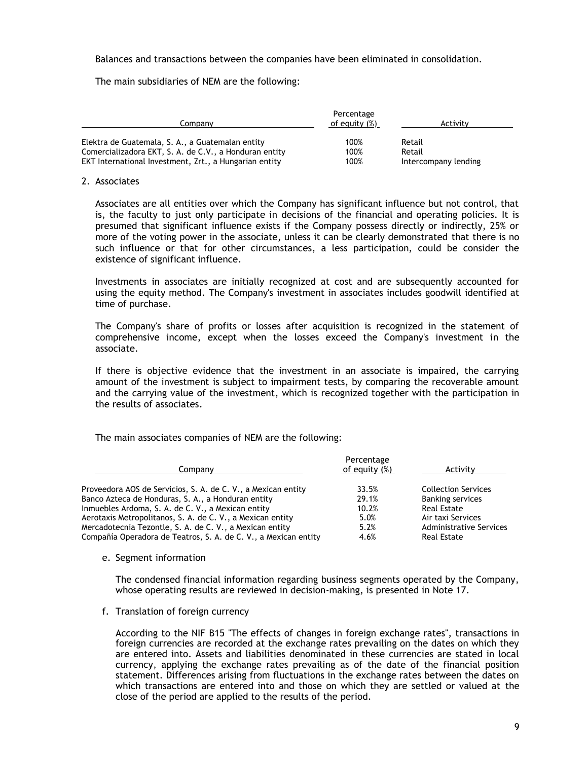Balances and transactions between the companies have been eliminated in consolidation.

The main subsidiaries of NEM are the following:

|                                                        | Percentage       |                      |
|--------------------------------------------------------|------------------|----------------------|
| Companv                                                | of equity $(\%)$ | Activity             |
| Elektra de Guatemala, S. A., a Guatemalan entity       | 100%             | Retail               |
| Comercializadora EKT, S. A. de C.V., a Honduran entity | 100%             | Retail               |
| EKT International Investment, Zrt., a Hungarian entity | 100%             | Intercompany lending |

#### 2. Associates

Associates are all entities over which the Company has significant influence but not control, that is, the faculty to just only participate in decisions of the financial and operating policies. It is presumed that significant influence exists if the Company possess directly or indirectly, 25% or more of the voting power in the associate, unless it can be clearly demonstrated that there is no such influence or that for other circumstances, a less participation, could be consider the existence of significant influence.

Investments in associates are initially recognized at cost and are subsequently accounted for using the equity method. The Company's investment in associates includes goodwill identified at time of purchase.

The Company's share of profits or losses after acquisition is recognized in the statement of comprehensive income, except when the losses exceed the Company's investment in the associate.

If there is objective evidence that the investment in an associate is impaired, the carrying amount of the investment is subject to impairment tests, by comparing the recoverable amount and the carrying value of the investment, which is recognized together with the participation in the results of associates.

The main associates companies of NEM are the following:

| Company                                                         | Percentage<br>of equity (%) | Activity                   |
|-----------------------------------------------------------------|-----------------------------|----------------------------|
| Proveedora AOS de Servicios, S. A. de C. V., a Mexican entity   | 33.5%                       | <b>Collection Services</b> |
| Banco Azteca de Honduras, S. A., a Honduran entity              | 29.1%                       | <b>Banking services</b>    |
| Inmuebles Ardoma, S. A. de C. V., a Mexican entity              | 10.2%                       | Real Estate                |
| Aerotaxis Metropolitanos, S. A. de C. V., a Mexican entity      | 5.0%                        | Air taxi Services          |
| Mercadotecnia Tezontle, S. A. de C. V., a Mexican entity        | 5.2%                        | Administrative Services    |
| Compañía Operadora de Teatros, S. A. de C. V., a Mexican entity | 4.6%                        | Real Estate                |
|                                                                 |                             |                            |

#### e. Segment information

The condensed financial information regarding business segments operated by the Company, whose operating results are reviewed in decision-making, is presented in Note 17.

f. Translation of foreign currency

According to the NIF B15 "The effects of changes in foreign exchange rates", transactions in foreign currencies are recorded at the exchange rates prevailing on the dates on which they are entered into. Assets and liabilities denominated in these currencies are stated in local currency, applying the exchange rates prevailing as of the date of the financial position statement. Differences arising from fluctuations in the exchange rates between the dates on which transactions are entered into and those on which they are settled or valued at the close of the period are applied to the results of the period.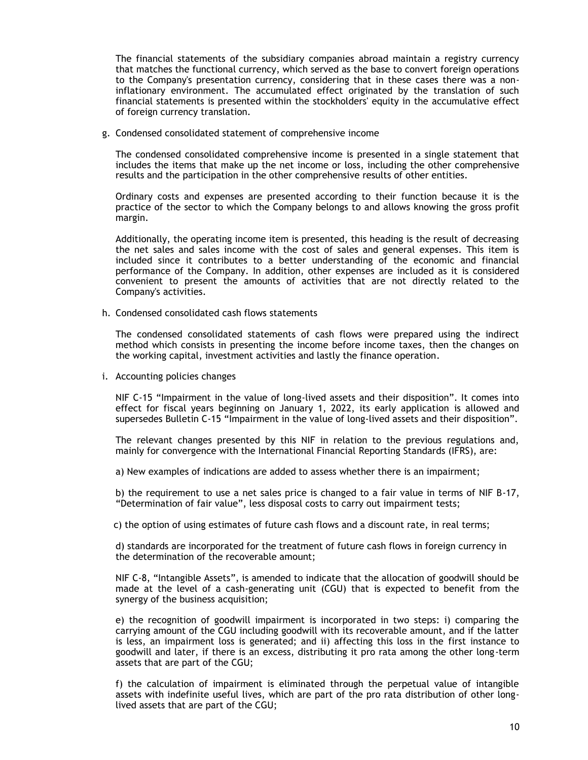The financial statements of the subsidiary companies abroad maintain a registry currency that matches the functional currency, which served as the base to convert foreign operations to the Company's presentation currency, considering that in these cases there was a noninflationary environment. The accumulated effect originated by the translation of such financial statements is presented within the stockholders' equity in the accumulative effect of foreign currency translation.

g. Condensed consolidated statement of comprehensive income

The condensed consolidated comprehensive income is presented in a single statement that includes the items that make up the net income or loss, including the other comprehensive results and the participation in the other comprehensive results of other entities.

Ordinary costs and expenses are presented according to their function because it is the practice of the sector to which the Company belongs to and allows knowing the gross profit margin.

Additionally, the operating income item is presented, this heading is the result of decreasing the net sales and sales income with the cost of sales and general expenses. This item is included since it contributes to a better understanding of the economic and financial performance of the Company. In addition, other expenses are included as it is considered convenient to present the amounts of activities that are not directly related to the Company's activities.

h. Condensed consolidated cash flows statements

The condensed consolidated statements of cash flows were prepared using the indirect method which consists in presenting the income before income taxes, then the changes on the working capital, investment activities and lastly the finance operation.

i. Accounting policies changes

NIF C-15 "Impairment in the value of long-lived assets and their disposition". It comes into effect for fiscal years beginning on January 1, 2022, its early application is allowed and supersedes Bulletin C-15 "Impairment in the value of long-lived assets and their disposition".

The relevant changes presented by this NIF in relation to the previous regulations and, mainly for convergence with the International Financial Reporting Standards (IFRS), are:

a) New examples of indications are added to assess whether there is an impairment;

b) the requirement to use a net sales price is changed to a fair value in terms of NIF B-17, "Determination of fair value", less disposal costs to carry out impairment tests;

c) the option of using estimates of future cash flows and a discount rate, in real terms;

d) standards are incorporated for the treatment of future cash flows in foreign currency in the determination of the recoverable amount;

NIF C-8, "Intangible Assets", is amended to indicate that the allocation of goodwill should be made at the level of a cash-generating unit (CGU) that is expected to benefit from the synergy of the business acquisition;

e) the recognition of goodwill impairment is incorporated in two steps: i) comparing the carrying amount of the CGU including goodwill with its recoverable amount, and if the latter is less, an impairment loss is generated; and ii) affecting this loss in the first instance to goodwill and later, if there is an excess, distributing it pro rata among the other long-term assets that are part of the CGU;

f) the calculation of impairment is eliminated through the perpetual value of intangible assets with indefinite useful lives, which are part of the pro rata distribution of other longlived assets that are part of the CGU;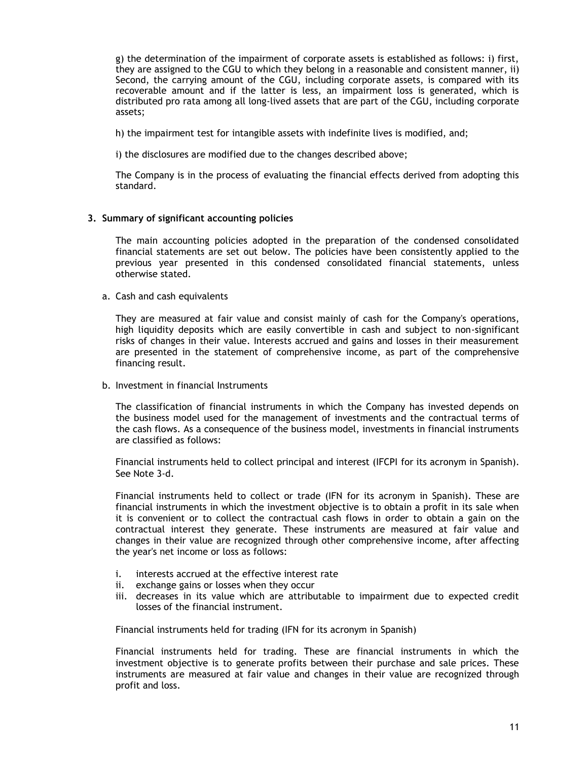g) the determination of the impairment of corporate assets is established as follows: i) first, they are assigned to the CGU to which they belong in a reasonable and consistent manner, ii) Second, the carrying amount of the CGU, including corporate assets, is compared with its recoverable amount and if the latter is less, an impairment loss is generated, which is distributed pro rata among all long-lived assets that are part of the CGU, including corporate assets;

h) the impairment test for intangible assets with indefinite lives is modified, and;

i) the disclosures are modified due to the changes described above;

The Company is in the process of evaluating the financial effects derived from adopting this standard.

### **3. Summary of significant accounting policies**

The main accounting policies adopted in the preparation of the condensed consolidated financial statements are set out below. The policies have been consistently applied to the previous year presented in this condensed consolidated financial statements, unless otherwise stated.

a. Cash and cash equivalents

They are measured at fair value and consist mainly of cash for the Company's operations, high liquidity deposits which are easily convertible in cash and subject to non-significant risks of changes in their value. Interests accrued and gains and losses in their measurement are presented in the statement of comprehensive income, as part of the comprehensive financing result.

b. Investment in financial Instruments

The classification of financial instruments in which the Company has invested depends on the business model used for the management of investments and the contractual terms of the cash flows. As a consequence of the business model, investments in financial instruments are classified as follows:

Financial instruments held to collect principal and interest (IFCPI for its acronym in Spanish). See Note 3-d.

Financial instruments held to collect or trade (IFN for its acronym in Spanish). These are financial instruments in which the investment objective is to obtain a profit in its sale when it is convenient or to collect the contractual cash flows in order to obtain a gain on the contractual interest they generate. These instruments are measured at fair value and changes in their value are recognized through other comprehensive income, after affecting the year's net income or loss as follows:

- i. interests accrued at the effective interest rate
- ii. exchange gains or losses when they occur
- iii. decreases in its value which are attributable to impairment due to expected credit losses of the financial instrument.

Financial instruments held for trading (IFN for its acronym in Spanish)

Financial instruments held for trading. These are financial instruments in which the investment objective is to generate profits between their purchase and sale prices. These instruments are measured at fair value and changes in their value are recognized through profit and loss.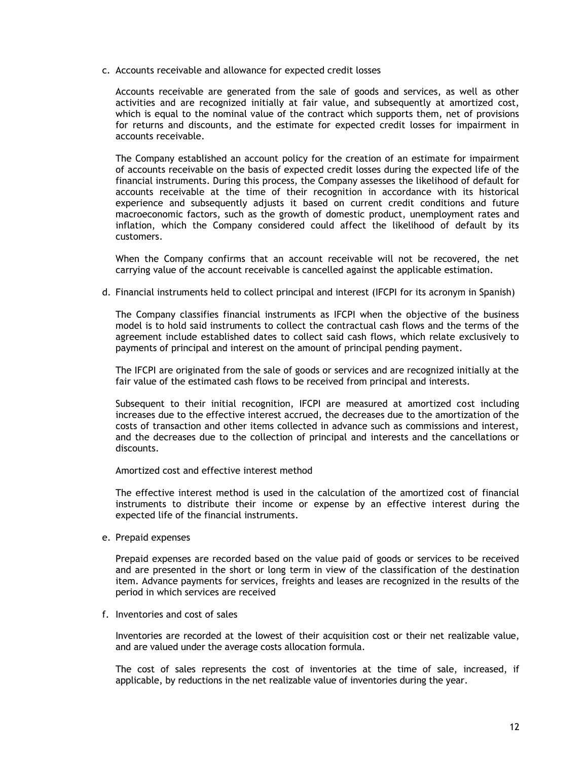c. Accounts receivable and allowance for expected credit losses

Accounts receivable are generated from the sale of goods and services, as well as other activities and are recognized initially at fair value, and subsequently at amortized cost, which is equal to the nominal value of the contract which supports them, net of provisions for returns and discounts, and the estimate for expected credit losses for impairment in accounts receivable.

The Company established an account policy for the creation of an estimate for impairment of accounts receivable on the basis of expected credit losses during the expected life of the financial instruments. During this process, the Company assesses the likelihood of default for accounts receivable at the time of their recognition in accordance with its historical experience and subsequently adjusts it based on current credit conditions and future macroeconomic factors, such as the growth of domestic product, unemployment rates and inflation, which the Company considered could affect the likelihood of default by its customers.

When the Company confirms that an account receivable will not be recovered, the net carrying value of the account receivable is cancelled against the applicable estimation.

d. Financial instruments held to collect principal and interest (IFCPI for its acronym in Spanish)

The Company classifies financial instruments as IFCPI when the objective of the business model is to hold said instruments to collect the contractual cash flows and the terms of the agreement include established dates to collect said cash flows, which relate exclusively to payments of principal and interest on the amount of principal pending payment.

The IFCPI are originated from the sale of goods or services and are recognized initially at the fair value of the estimated cash flows to be received from principal and interests.

Subsequent to their initial recognition, IFCPI are measured at amortized cost including increases due to the effective interest accrued, the decreases due to the amortization of the costs of transaction and other items collected in advance such as commissions and interest, and the decreases due to the collection of principal and interests and the cancellations or discounts.

Amortized cost and effective interest method

The effective interest method is used in the calculation of the amortized cost of financial instruments to distribute their income or expense by an effective interest during the expected life of the financial instruments.

e. Prepaid expenses

Prepaid expenses are recorded based on the value paid of goods or services to be received and are presented in the short or long term in view of the classification of the destination item. Advance payments for services, freights and leases are recognized in the results of the period in which services are received

f. Inventories and cost of sales

Inventories are recorded at the lowest of their acquisition cost or their net realizable value, and are valued under the average costs allocation formula.

The cost of sales represents the cost of inventories at the time of sale, increased, if applicable, by reductions in the net realizable value of inventories during the year.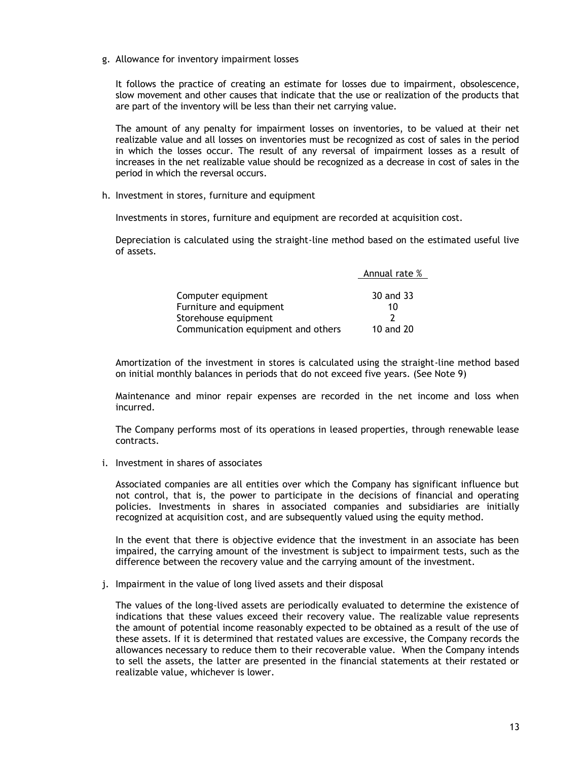g. Allowance for inventory impairment losses

It follows the practice of creating an estimate for losses due to impairment, obsolescence, slow movement and other causes that indicate that the use or realization of the products that are part of the inventory will be less than their net carrying value.

The amount of any penalty for impairment losses on inventories, to be valued at their net realizable value and all losses on inventories must be recognized as cost of sales in the period in which the losses occur. The result of any reversal of impairment losses as a result of increases in the net realizable value should be recognized as a decrease in cost of sales in the period in which the reversal occurs.

h. Investment in stores, furniture and equipment

Investments in stores, furniture and equipment are recorded at acquisition cost.

Depreciation is calculated using the straight-line method based on the estimated useful live of assets.

|                                    | Annual rate % |
|------------------------------------|---------------|
|                                    |               |
| Computer equipment                 | 30 and 33     |
| Furniture and equipment            | 10            |
| Storehouse equipment               |               |
| Communication equipment and others | 10 and 20     |

Amortization of the investment in stores is calculated using the straight-line method based on initial monthly balances in periods that do not exceed five years. (See Note 9)

Maintenance and minor repair expenses are recorded in the net income and loss when incurred.

The Company performs most of its operations in leased properties, through renewable lease contracts.

i. Investment in shares of associates

Associated companies are all entities over which the Company has significant influence but not control, that is, the power to participate in the decisions of financial and operating policies. Investments in shares in associated companies and subsidiaries are initially recognized at acquisition cost, and are subsequently valued using the equity method.

In the event that there is objective evidence that the investment in an associate has been impaired, the carrying amount of the investment is subject to impairment tests, such as the difference between the recovery value and the carrying amount of the investment.

j. Impairment in the value of long lived assets and their disposal

The values of the long-lived assets are periodically evaluated to determine the existence of indications that these values exceed their recovery value. The realizable value represents the amount of potential income reasonably expected to be obtained as a result of the use of these assets. If it is determined that restated values are excessive, the Company records the allowances necessary to reduce them to their recoverable value. When the Company intends to sell the assets, the latter are presented in the financial statements at their restated or realizable value, whichever is lower.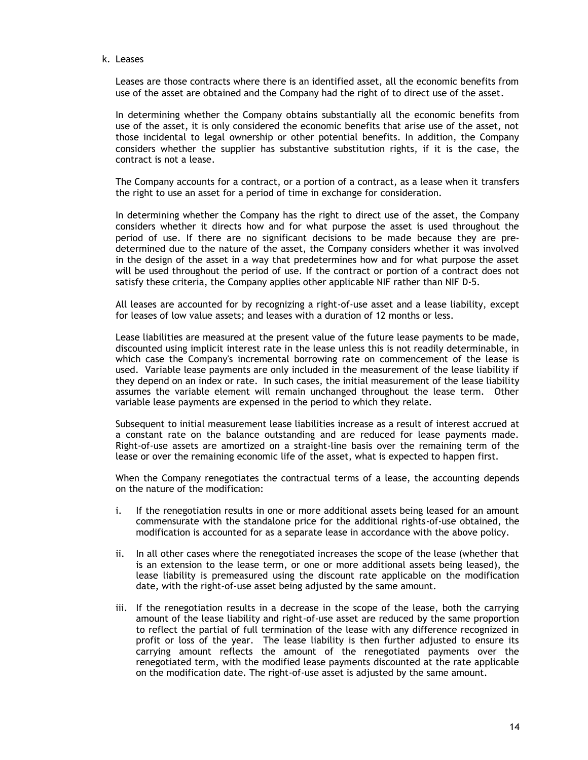k. Leases

Leases are those contracts where there is an identified asset, all the economic benefits from use of the asset are obtained and the Company had the right of to direct use of the asset.

In determining whether the Company obtains substantially all the economic benefits from use of the asset, it is only considered the economic benefits that arise use of the asset, not those incidental to legal ownership or other potential benefits. In addition, the Company considers whether the supplier has substantive substitution rights, if it is the case, the contract is not a lease.

The Company accounts for a contract, or a portion of a contract, as a lease when it transfers the right to use an asset for a period of time in exchange for consideration.

In determining whether the Company has the right to direct use of the asset, the Company considers whether it directs how and for what purpose the asset is used throughout the period of use. If there are no significant decisions to be made because they are predetermined due to the nature of the asset, the Company considers whether it was involved in the design of the asset in a way that predetermines how and for what purpose the asset will be used throughout the period of use. If the contract or portion of a contract does not satisfy these criteria, the Company applies other applicable NIF rather than NIF D-5.

All leases are accounted for by recognizing a right-of-use asset and a lease liability, except for leases of low value assets; and leases with a duration of 12 months or less.

Lease liabilities are measured at the present value of the future lease payments to be made, discounted using implicit interest rate in the lease unless this is not readily determinable, in which case the Company's incremental borrowing rate on commencement of the lease is used. Variable lease payments are only included in the measurement of the lease liability if they depend on an index or rate. In such cases, the initial measurement of the lease liability assumes the variable element will remain unchanged throughout the lease term. Other variable lease payments are expensed in the period to which they relate.

Subsequent to initial measurement lease liabilities increase as a result of interest accrued at a constant rate on the balance outstanding and are reduced for lease payments made. Right-of-use assets are amortized on a straight-line basis over the remaining term of the lease or over the remaining economic life of the asset, what is expected to happen first.

When the Company renegotiates the contractual terms of a lease, the accounting depends on the nature of the modification:

- i. If the renegotiation results in one or more additional assets being leased for an amount commensurate with the standalone price for the additional rights-of-use obtained, the modification is accounted for as a separate lease in accordance with the above policy.
- ii. In all other cases where the renegotiated increases the scope of the lease (whether that is an extension to the lease term, or one or more additional assets being leased), the lease liability is premeasured using the discount rate applicable on the modification date, with the right-of-use asset being adjusted by the same amount.
- iii. If the renegotiation results in a decrease in the scope of the lease, both the carrying amount of the lease liability and right-of-use asset are reduced by the same proportion to reflect the partial of full termination of the lease with any difference recognized in profit or loss of the year. The lease liability is then further adjusted to ensure its carrying amount reflects the amount of the renegotiated payments over the renegotiated term, with the modified lease payments discounted at the rate applicable on the modification date. The right-of-use asset is adjusted by the same amount.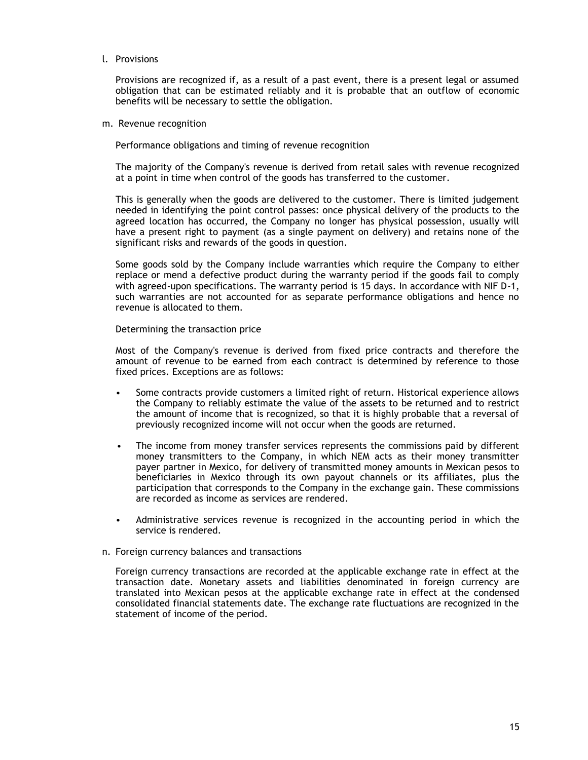### l. Provisions

Provisions are recognized if, as a result of a past event, there is a present legal or assumed obligation that can be estimated reliably and it is probable that an outflow of economic benefits will be necessary to settle the obligation.

m. Revenue recognition

Performance obligations and timing of revenue recognition

The majority of the Company's revenue is derived from retail sales with revenue recognized at a point in time when control of the goods has transferred to the customer.

This is generally when the goods are delivered to the customer. There is limited judgement needed in identifying the point control passes: once physical delivery of the products to the agreed location has occurred, the Company no longer has physical possession, usually will have a present right to payment (as a single payment on delivery) and retains none of the significant risks and rewards of the goods in question.

Some goods sold by the Company include warranties which require the Company to either replace or mend a defective product during the warranty period if the goods fail to comply with agreed-upon specifications. The warranty period is 15 days. In accordance with NIF D-1, such warranties are not accounted for as separate performance obligations and hence no revenue is allocated to them.

Determining the transaction price

Most of the Company's revenue is derived from fixed price contracts and therefore the amount of revenue to be earned from each contract is determined by reference to those fixed prices. Exceptions are as follows:

- Some contracts provide customers a limited right of return. Historical experience allows the Company to reliably estimate the value of the assets to be returned and to restrict the amount of income that is recognized, so that it is highly probable that a reversal of previously recognized income will not occur when the goods are returned.
- The income from money transfer services represents the commissions paid by different money transmitters to the Company, in which NEM acts as their money transmitter payer partner in Mexico, for delivery of transmitted money amounts in Mexican pesos to beneficiaries in Mexico through its own payout channels or its affiliates, plus the participation that corresponds to the Company in the exchange gain. These commissions are recorded as income as services are rendered.
- Administrative services revenue is recognized in the accounting period in which the service is rendered.
- n. Foreign currency balances and transactions

Foreign currency transactions are recorded at the applicable exchange rate in effect at the transaction date. Monetary assets and liabilities denominated in foreign currency are translated into Mexican pesos at the applicable exchange rate in effect at the condensed consolidated financial statements date. The exchange rate fluctuations are recognized in the statement of income of the period.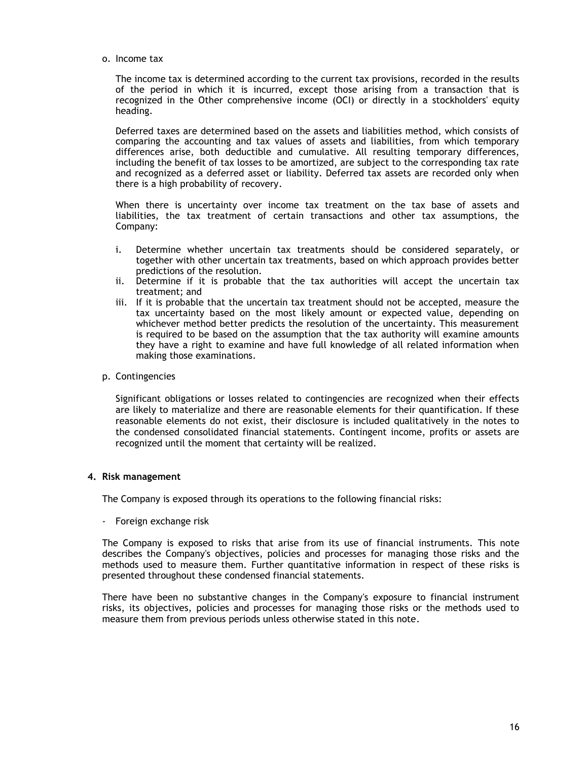o. Income tax

The income tax is determined according to the current tax provisions, recorded in the results of the period in which it is incurred, except those arising from a transaction that is recognized in the Other comprehensive income (OCI) or directly in a stockholders' equity heading.

Deferred taxes are determined based on the assets and liabilities method, which consists of comparing the accounting and tax values of assets and liabilities, from which temporary differences arise, both deductible and cumulative. All resulting temporary differences, including the benefit of tax losses to be amortized, are subject to the corresponding tax rate and recognized as a deferred asset or liability. Deferred tax assets are recorded only when there is a high probability of recovery.

When there is uncertainty over income tax treatment on the tax base of assets and liabilities, the tax treatment of certain transactions and other tax assumptions, the Company:

- i. Determine whether uncertain tax treatments should be considered separately, or together with other uncertain tax treatments, based on which approach provides better predictions of the resolution.
- ii. Determine if it is probable that the tax authorities will accept the uncertain tax treatment; and
- iii. If it is probable that the uncertain tax treatment should not be accepted, measure the tax uncertainty based on the most likely amount or expected value, depending on whichever method better predicts the resolution of the uncertainty. This measurement is required to be based on the assumption that the tax authority will examine amounts they have a right to examine and have full knowledge of all related information when making those examinations.

### p. Contingencies

Significant obligations or losses related to contingencies are recognized when their effects are likely to materialize and there are reasonable elements for their quantification. If these reasonable elements do not exist, their disclosure is included qualitatively in the notes to the condensed consolidated financial statements. Contingent income, profits or assets are recognized until the moment that certainty will be realized.

### **4. Risk management**

The Company is exposed through its operations to the following financial risks:

- Foreign exchange risk

The Company is exposed to risks that arise from its use of financial instruments. This note describes the Company's objectives, policies and processes for managing those risks and the methods used to measure them. Further quantitative information in respect of these risks is presented throughout these condensed financial statements.

There have been no substantive changes in the Company's exposure to financial instrument risks, its objectives, policies and processes for managing those risks or the methods used to measure them from previous periods unless otherwise stated in this note.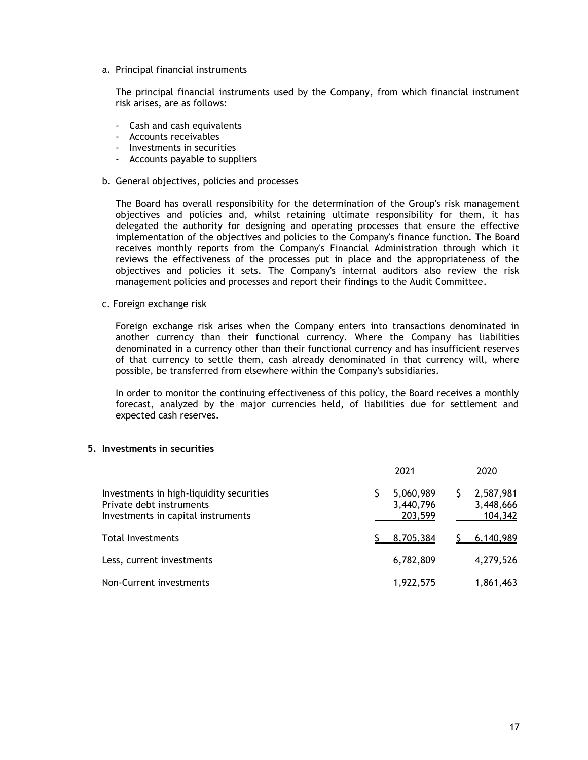a. Principal financial instruments

The principal financial instruments used by the Company, from which financial instrument risk arises, are as follows:

- Cash and cash equivalents
- Accounts receivables
- Investments in securities
- Accounts payable to suppliers
- b. General objectives, policies and processes

The Board has overall responsibility for the determination of the Group's risk management objectives and policies and, whilst retaining ultimate responsibility for them, it has delegated the authority for designing and operating processes that ensure the effective implementation of the objectives and policies to the Company's finance function. The Board receives monthly reports from the Company's Financial Administration through which it reviews the effectiveness of the processes put in place and the appropriateness of the objectives and policies it sets. The Company's internal auditors also review the risk management policies and processes and report their findings to the Audit Committee.

c. Foreign exchange risk

Foreign exchange risk arises when the Company enters into transactions denominated in another currency than their functional currency. Where the Company has liabilities denominated in a currency other than their functional currency and has insufficient reserves of that currency to settle them, cash already denominated in that currency will, where possible, be transferred from elsewhere within the Company's subsidiaries.

In order to monitor the continuing effectiveness of this policy, the Board receives a monthly forecast, analyzed by the major currencies held, of liabilities due for settlement and expected cash reserves.

### **5. Investments in securities**

|                                                                                                            | 2021                              | 2020                              |
|------------------------------------------------------------------------------------------------------------|-----------------------------------|-----------------------------------|
| Investments in high-liquidity securities<br>Private debt instruments<br>Investments in capital instruments | 5,060,989<br>3,440,796<br>203,599 | 2,587,981<br>3,448,666<br>104,342 |
| Total Investments                                                                                          | 8,705,384                         | 6.140.989                         |
| Less, current investments                                                                                  | 6,782,809                         | 4,279,526                         |
| Non-Current investments                                                                                    | 1,922,575                         | 1,861,463                         |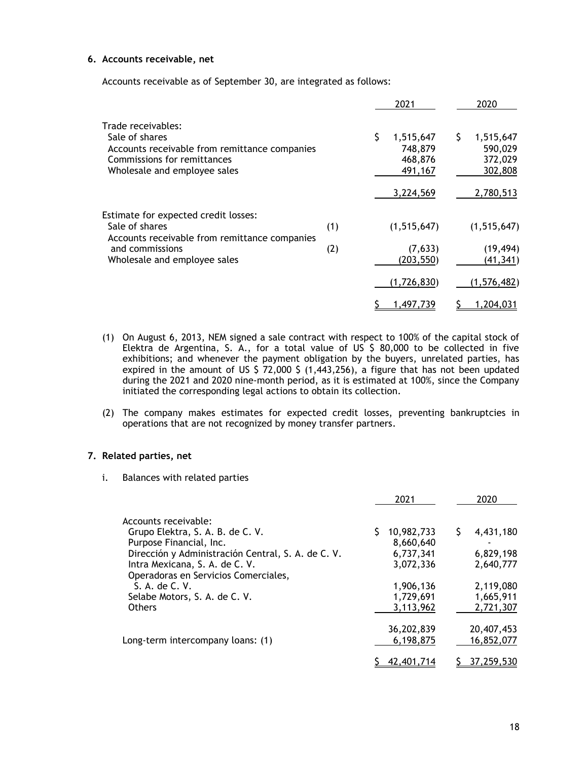# **6. Accounts receivable, net**

Accounts receivable as of September 30, are integrated as follows:

|                                                                                                                                                      |     | 2021                                       |         | 2020                                       |
|------------------------------------------------------------------------------------------------------------------------------------------------------|-----|--------------------------------------------|---------|--------------------------------------------|
| Trade receivables:<br>Sale of shares<br>Accounts receivable from remittance companies<br>Commissions for remittances<br>Wholesale and employee sales |     | 1,515,647<br>748,879<br>468,876<br>491,167 | Ş       | 1,515,647<br>590,029<br>372,029<br>302,808 |
|                                                                                                                                                      |     | 3,224,569                                  |         | 2,780,513                                  |
| Estimate for expected credit losses:<br>Sale of shares<br>Accounts receivable from remittance companies                                              | (1) | (1, 515, 647)                              |         | (1, 515, 647)                              |
| and commissions<br>Wholesale and employee sales                                                                                                      | (2) | (203, 550)                                 | (7,633) | (19, 494)<br>(41, 341)                     |
|                                                                                                                                                      |     | (1,726,830)                                |         | (1,576,482)                                |
|                                                                                                                                                      |     | 1,497,739                                  |         | 1,204,031                                  |

- (1) On August 6, 2013, NEM signed a sale contract with respect to 100% of the capital stock of Elektra de Argentina, S. A., for a total value of US \$ 80,000 to be collected in five exhibitions; and whenever the payment obligation by the buyers, unrelated parties, has expired in the amount of US  $\frac{2}{5}$  72,000  $\frac{2}{5}$  (1,443,256), a figure that has not been updated during the 2021 and 2020 nine-month period, as it is estimated at 100%, since the Company initiated the corresponding legal actions to obtain its collection.
- (2) The company makes estimates for expected credit losses, preventing bankruptcies in operations that are not recognized by money transfer partners.

# **7. Related parties, net**

i. Balances with related parties

|                                                    | 2021       | 2020       |
|----------------------------------------------------|------------|------------|
| Accounts receivable:                               |            |            |
| Grupo Elektra, S. A. B. de C. V.                   | 10,982,733 | 4,431,180  |
| Purpose Financial, Inc.                            | 8,660,640  |            |
| Dirección y Administración Central, S. A. de C. V. | 6,737,341  | 6,829,198  |
| Intra Mexicana, S. A. de C. V.                     | 3,072,336  | 2,640,777  |
| Operadoras en Servicios Comerciales,               |            |            |
| S. A. de C. V.                                     | 1,906,136  | 2,119,080  |
| Selabe Motors, S. A. de C. V.                      | 1,729,691  | 1,665,911  |
| <b>Others</b>                                      | 3,113,962  | 2,721,307  |
|                                                    |            |            |
|                                                    | 36,202,839 | 20,407,453 |
| Long-term intercompany loans: (1)                  | 6,198,875  | 16,852,077 |
|                                                    |            |            |
|                                                    | 42,401,714 | 37,259,530 |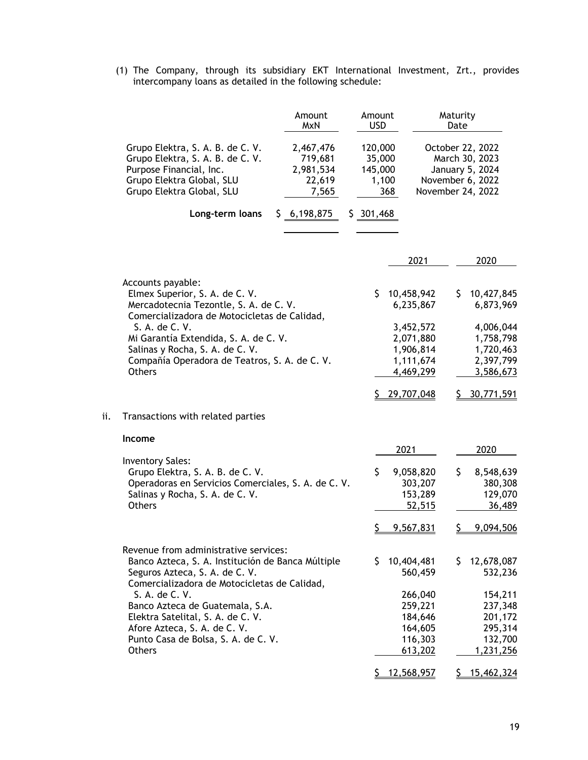(1) The Company, through its subsidiary EKT International Investment, Zrt., provides intercompany loans as detailed in the following schedule:

|     |                                                                                                                                                                                                                                                                                                                                                                | Amount<br><b>MxN</b>                                 | Amount<br><b>USD</b>                         |                                                                                                          | Maturity<br>Date |                                                                                                           |
|-----|----------------------------------------------------------------------------------------------------------------------------------------------------------------------------------------------------------------------------------------------------------------------------------------------------------------------------------------------------------------|------------------------------------------------------|----------------------------------------------|----------------------------------------------------------------------------------------------------------|------------------|-----------------------------------------------------------------------------------------------------------|
|     | Grupo Elektra, S. A. B. de C. V.<br>Grupo Elektra, S. A. B. de C. V.<br>Purpose Financial, Inc.<br>Grupo Elektra Global, SLU<br>Grupo Elektra Global, SLU                                                                                                                                                                                                      | 2,467,476<br>719,681<br>2,981,534<br>22,619<br>7,565 | 120,000<br>35,000<br>145,000<br>1,100<br>368 |                                                                                                          |                  | October 22, 2022<br>March 30, 2023<br>January 5, 2024<br>November 6, 2022<br>November 24, 2022            |
|     | Long-term loans                                                                                                                                                                                                                                                                                                                                                | \$6,198,875                                          | \$301,468                                    |                                                                                                          |                  |                                                                                                           |
|     |                                                                                                                                                                                                                                                                                                                                                                |                                                      |                                              | 2021                                                                                                     |                  | 2020                                                                                                      |
|     | Accounts payable:<br>Elmex Superior, S. A. de C. V.<br>Mercadotecnia Tezontle, S. A. de C. V.<br>Comercializadora de Motocicletas de Calidad,<br>S. A. de C. V.<br>Mi Garantía Extendida, S. A. de C. V.<br>Salinas y Rocha, S. A. de C. V.<br>Compañía Operadora de Teatros, S. A. de C. V.<br><b>Others</b>                                                  |                                                      | \$                                           | 10,458,942<br>6,235,867<br>3,452,572<br>2,071,880<br>1,906,814<br>1,111,674<br>4,469,299<br>\$29,707,048 | \$.              | 10,427,845<br>6,873,969<br>4,006,044<br>1,758,798<br>1,720,463<br>2,397,799<br>3,586,673<br>30,771,591    |
| ii. | Transactions with related parties                                                                                                                                                                                                                                                                                                                              |                                                      |                                              |                                                                                                          |                  |                                                                                                           |
|     | Income                                                                                                                                                                                                                                                                                                                                                         |                                                      |                                              | 2021                                                                                                     |                  | 2020                                                                                                      |
|     | <b>Inventory Sales:</b><br>Grupo Elektra, S. A. B. de C. V.<br>Operadoras en Servicios Comerciales, S. A. de C. V.<br>Salinas y Rocha, S. A. de C. V.<br><b>Others</b>                                                                                                                                                                                         |                                                      | \$<br>S                                      | 9,058,820<br>303,207<br>153,289<br>52,515<br>9,567,831                                                   | \$<br><u>S.</u>  | 8,548,639<br>380,308<br>129,070<br>36,489<br>9,094,506                                                    |
|     | Revenue from administrative services:<br>Banco Azteca, S. A. Institución de Banca Múltiple<br>Seguros Azteca, S. A. de C. V.<br>Comercializadora de Motocicletas de Calidad,<br>S. A. de C. V.<br>Banco Azteca de Guatemala, S.A.<br>Elektra Satelital, S. A. de C. V.<br>Afore Azteca, S. A. de C. V.<br>Punto Casa de Bolsa, S. A. de C. V.<br><b>Others</b> |                                                      | \$                                           | 10,404,481<br>560,459<br>266,040<br>259,221<br>184,646<br>164,605<br>116,303<br>613,202<br>\$12,568,957  | \$.              | 12,678,087<br>532,236<br>154,211<br>237,348<br>201,172<br>295,314<br>132,700<br>1,231,256<br>\$15,462,324 |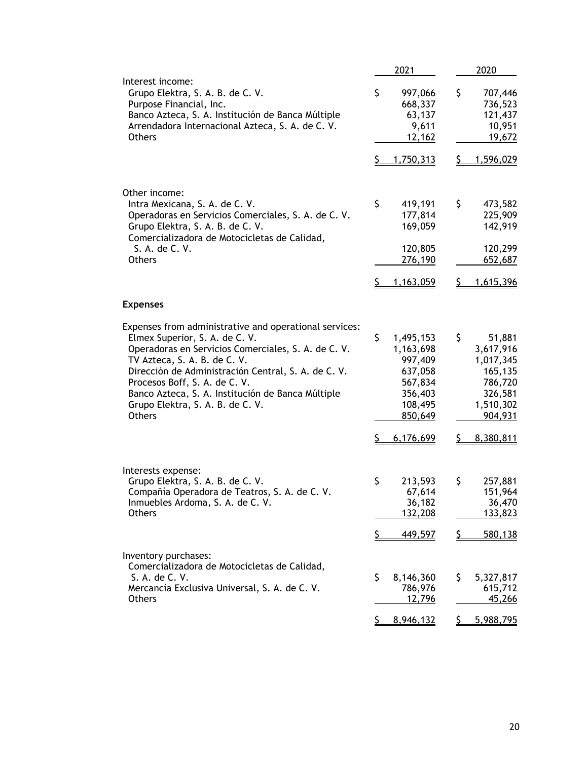|                                                                                                                                                                                                                                                                                                                                                                                   | 2021                                                                                           | 2020                                                                                            |
|-----------------------------------------------------------------------------------------------------------------------------------------------------------------------------------------------------------------------------------------------------------------------------------------------------------------------------------------------------------------------------------|------------------------------------------------------------------------------------------------|-------------------------------------------------------------------------------------------------|
| Interest income:<br>Grupo Elektra, S. A. B. de C. V.<br>Purpose Financial, Inc.<br>Banco Azteca, S. A. Institución de Banca Múltiple<br>Arrendadora Internacional Azteca, S. A. de C. V.<br><b>Others</b>                                                                                                                                                                         | \$<br>997,066<br>668,337<br>63,137<br>9,611<br>12,162                                          | \$<br>707,446<br>736,523<br>121,437<br>10,951<br>19,672                                         |
|                                                                                                                                                                                                                                                                                                                                                                                   | \$<br>1,750,313                                                                                | \$<br>1,596,029                                                                                 |
| Other income:<br>Intra Mexicana, S. A. de C. V.<br>Operadoras en Servicios Comerciales, S. A. de C. V.<br>Grupo Elektra, S. A. B. de C. V.<br>Comercializadora de Motocicletas de Calidad,<br>S. A. de C. V.<br><b>Others</b>                                                                                                                                                     | \$<br>419,191<br>177,814<br>169,059<br>120,805<br>276,190<br>\$<br>1,163,059                   | \$<br>473,582<br>225,909<br>142,919<br>120,299<br>652,687<br>\$<br>1,615,396                    |
| <b>Expenses</b>                                                                                                                                                                                                                                                                                                                                                                   |                                                                                                |                                                                                                 |
| Expenses from administrative and operational services:<br>Elmex Superior, S. A. de C. V.<br>Operadoras en Servicios Comerciales, S. A. de C. V.<br>TV Azteca, S. A. B. de C. V.<br>Dirección de Administración Central, S. A. de C. V.<br>Procesos Boff, S. A. de C. V.<br>Banco Azteca, S. A. Institución de Banca Múltiple<br>Grupo Elektra, S. A. B. de C. V.<br><b>Others</b> | \$<br>1,495,153<br>1,163,698<br>997,409<br>637,058<br>567,834<br>356,403<br>108,495<br>850,649 | \$<br>51,881<br>3,617,916<br>1,017,345<br>165,135<br>786,720<br>326,581<br>1,510,302<br>904,931 |
| Interests expense:                                                                                                                                                                                                                                                                                                                                                                | Ş.<br>6,176,699                                                                                | 8,380,811<br>Ş.                                                                                 |
| Grupo Elektra, S. A. B. de C. V.<br>Compañía Operadora de Teatros, S. A. de C. V.<br>Inmuebles Ardoma, S. A. de C. V.<br><b>Others</b>                                                                                                                                                                                                                                            | \$<br>213,593<br>67,614<br>36,182<br>132,208                                                   | \$<br>257,881<br>151,964<br>36,470<br>133,823                                                   |
|                                                                                                                                                                                                                                                                                                                                                                                   | \$<br>449,597                                                                                  | \$<br>580,138                                                                                   |
| Inventory purchases:<br>Comercializadora de Motocicletas de Calidad,<br>S. A. de C. V.<br>Mercancía Exclusiva Universal, S. A. de C. V.<br>Others                                                                                                                                                                                                                                 | \$<br>8,146,360<br>786,976<br>12,796<br><u>\$</u><br>8,946,132                                 | \$<br>5,327,817<br>615,712<br>45,266<br>5,988,795<br><u>\$</u>                                  |
|                                                                                                                                                                                                                                                                                                                                                                                   |                                                                                                |                                                                                                 |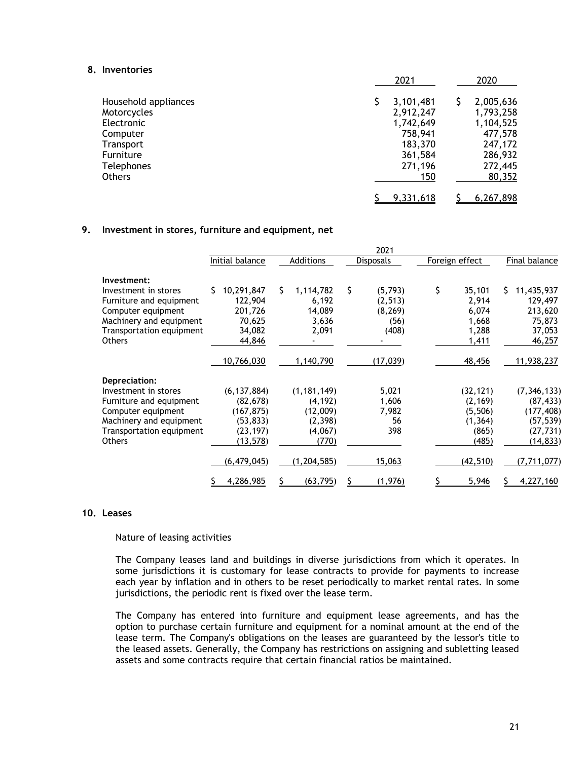### **8. Inventories**

|                      | 2021      | 2020      |
|----------------------|-----------|-----------|
| Household appliances | 3,101,481 | 2,005,636 |
| Motorcycles          | 2,912,247 | 1,793,258 |
| Electronic           | 1,742,649 | 1,104,525 |
| Computer             | 758,941   | 477,578   |
| Transport            | 183,370   | 247,172   |
| Furniture            | 361,584   | 286,932   |
| <b>Telephones</b>    | 271,196   | 272,445   |
| Others               | 150       | 80,352    |
|                      | 9,331,618 | 6,267,898 |

### **9. Investment in stores, furniture and equipment, net**

|                                                                                                                                                                |                                                                                 |                                                                       | 2021                                 |                                                                |                                                                                      |
|----------------------------------------------------------------------------------------------------------------------------------------------------------------|---------------------------------------------------------------------------------|-----------------------------------------------------------------------|--------------------------------------|----------------------------------------------------------------|--------------------------------------------------------------------------------------|
|                                                                                                                                                                | Initial balance                                                                 | Additions                                                             | Disposals                            | Foreign effect                                                 | Final balance                                                                        |
| Investment:<br>Investment in stores<br>Furniture and equipment                                                                                                 | Ś.<br>10,291,847<br>122,904                                                     | Ś.<br>1,114,782<br>6,192                                              | \$<br>(5,793)<br>(2, 513)            | \$<br>35,101<br>2,914                                          | S.<br>11,435,937<br>129,497                                                          |
| Computer equipment<br>Machinery and equipment<br>Transportation equipment<br><b>Others</b>                                                                     | 201,726<br>70,625<br>34,082<br>44,846                                           | 14,089<br>3,636<br>2,091                                              | (8, 269)<br>(56)<br>(408)            | 6,074<br>1,668<br>1,288<br>1,411                               | 213,620<br>75,873<br>37,053<br>46,257                                                |
|                                                                                                                                                                | 10,766,030                                                                      | 1,140,790                                                             | (17, 039)                            | 48,456                                                         | 11,938,237                                                                           |
| Depreciation:<br>Investment in stores<br>Furniture and equipment<br>Computer equipment<br>Machinery and equipment<br>Transportation equipment<br><b>Others</b> | (6, 137, 884)<br>(82, 678)<br>(167, 875)<br>(53, 833)<br>(23, 197)<br>(13, 578) | (1, 181, 149)<br>(4, 192)<br>(12,009)<br>(2, 398)<br>(4,067)<br>(770) | 5,021<br>1,606<br>7,982<br>56<br>398 | (32, 121)<br>(2, 169)<br>(5,506)<br>(1, 364)<br>(865)<br>(485) | (7, 346, 133)<br>(87, 433)<br>(177, 408)<br>(57,539)<br>(27, 731)<br><u>(14,833)</u> |
|                                                                                                                                                                | (6, 479, 045)                                                                   | (1, 204, 585)                                                         | 15,063                               | (42, 510)                                                      | (7, 711, 077)                                                                        |
|                                                                                                                                                                | 4,286,985                                                                       | (63, 795)                                                             | (1, 976)                             | 5,946                                                          | 4,227,160                                                                            |

## **10. Leases**

#### Nature of leasing activities

The Company leases land and buildings in diverse jurisdictions from which it operates. In some jurisdictions it is customary for lease contracts to provide for payments to increase each year by inflation and in others to be reset periodically to market rental rates. In some jurisdictions, the periodic rent is fixed over the lease term.

The Company has entered into furniture and equipment lease agreements, and has the option to purchase certain furniture and equipment for a nominal amount at the end of the lease term. The Company's obligations on the leases are guaranteed by the lessor's title to the leased assets. Generally, the Company has restrictions on assigning and subletting leased assets and some contracts require that certain financial ratios be maintained.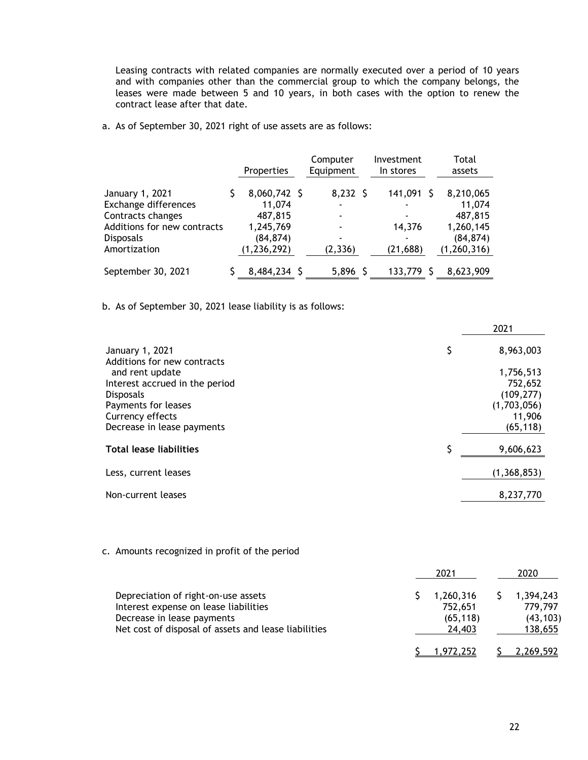Leasing contracts with related companies are normally executed over a period of 10 years and with companies other than the commercial group to which the company belongs, the leases were made between 5 and 10 years, in both cases with the option to renew the contract lease after that date.

a. As of September 30, 2021 right of use assets are as follows:

|                             | Properties    | Computer<br>Equipment    | Investment<br>In stores | Total<br>assets |
|-----------------------------|---------------|--------------------------|-------------------------|-----------------|
| January 1, 2021             | 8,060,742 \$  | $8,232$ \$               | 141,091                 | 8,210,065       |
| Exchange differences        | 11,074        | $\overline{\phantom{0}}$ |                         | 11,074          |
| Contracts changes           | 487,815       |                          |                         | 487,815         |
| Additions for new contracts | 1,245,769     |                          | 14,376                  | 1,260,145       |
| <b>Disposals</b>            | (84, 874)     |                          |                         | (84, 874)       |
| Amortization                | (1, 236, 292) | (2, 336)                 | (21, 688)               | (1, 260, 316)   |
| September 30, 2021          | 8,484,234 \$  | $5,896$ \$               | 133,779                 | 8,623,909       |

b. As of September 30, 2021 lease liability is as follows:

|                                                                                                                                                | 2021                                                                     |
|------------------------------------------------------------------------------------------------------------------------------------------------|--------------------------------------------------------------------------|
| January 1, 2021<br>Additions for new contracts                                                                                                 | \$<br>8,963,003                                                          |
| and rent update<br>Interest accrued in the period<br><b>Disposals</b><br>Payments for leases<br>Currency effects<br>Decrease in lease payments | 1,756,513<br>752,652<br>(109, 277)<br>(1,703,056)<br>11,906<br>(65, 118) |
| <b>Total lease liabilities</b>                                                                                                                 | \$<br>9,606,623                                                          |
| Less, current leases                                                                                                                           | (1,368,853)                                                              |
| Non-current leases                                                                                                                             | 8,237,770                                                                |

# c. Amounts recognized in profit of the period

|                                                                                                                                                                    | 2021                                        | 2020                                         |
|--------------------------------------------------------------------------------------------------------------------------------------------------------------------|---------------------------------------------|----------------------------------------------|
| Depreciation of right-on-use assets<br>Interest expense on lease liabilities<br>Decrease in lease payments<br>Net cost of disposal of assets and lease liabilities | 1,260,316<br>752,651<br>(65, 118)<br>24,403 | 1,394,243<br>779,797<br>(43, 103)<br>138,655 |
|                                                                                                                                                                    | 1.972.252                                   | 2.269.592                                    |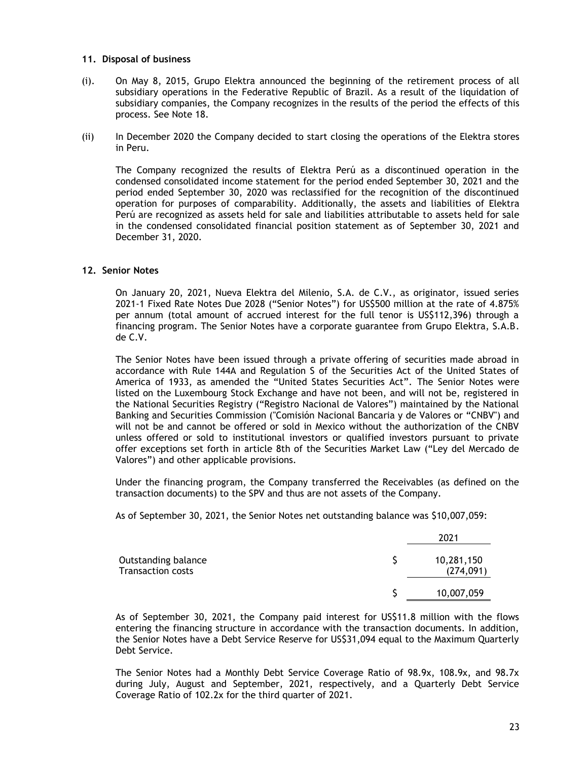### **11. Disposal of business**

- (i). On May 8, 2015, Grupo Elektra announced the beginning of the retirement process of all subsidiary operations in the Federative Republic of Brazil. As a result of the liquidation of subsidiary companies, the Company recognizes in the results of the period the effects of this process. See Note 18.
- (ii) In December 2020 the Company decided to start closing the operations of the Elektra stores in Peru.

The Company recognized the results of Elektra Perú as a discontinued operation in the condensed consolidated income statement for the period ended September 30, 2021 and the period ended September 30, 2020 was reclassified for the recognition of the discontinued operation for purposes of comparability. Additionally, the assets and liabilities of Elektra Perú are recognized as assets held for sale and liabilities attributable to assets held for sale in the condensed consolidated financial position statement as of September 30, 2021 and December 31, 2020.

### **12. Senior Notes**

On January 20, 2021, Nueva Elektra del Milenio, S.A. de C.V., as originator, issued series 2021-1 Fixed Rate Notes Due 2028 ("Senior Notes") for US\$500 million at the rate of 4.875% per annum (total amount of accrued interest for the full tenor is US\$112,396) through a financing program. The Senior Notes have a corporate guarantee from Grupo Elektra, S.A.B. de C.V.

The Senior Notes have been issued through a private offering of securities made abroad in accordance with Rule 144A and Regulation S of the Securities Act of the United States of America of 1933, as amended the "United States Securities Act". The Senior Notes were listed on the Luxembourg Stock Exchange and have not been, and will not be, registered in the National Securities Registry ("Registro Nacional de Valores") maintained by the National Banking and Securities Commission ("Comisión Nacional Bancaria y de Valores or "CNBV") and will not be and cannot be offered or sold in Mexico without the authorization of the CNBV unless offered or sold to institutional investors or qualified investors pursuant to private offer exceptions set forth in article 8th of the Securities Market Law ("Ley del Mercado de Valores") and other applicable provisions.

Under the financing program, the Company transferred the Receivables (as defined on the transaction documents) to the SPV and thus are not assets of the Company.

As of September 30, 2021, the Senior Notes net outstanding balance was \$10,007,059:

|                                                 | 2021                     |
|-------------------------------------------------|--------------------------|
| Outstanding balance<br><b>Transaction costs</b> | 10,281,150<br>(274, 091) |
|                                                 | 10,007,059               |

As of September 30, 2021, the Company paid interest for US\$11.8 million with the flows entering the financing structure in accordance with the transaction documents. In addition, the Senior Notes have a Debt Service Reserve for US\$31,094 equal to the Maximum Quarterly Debt Service.

The Senior Notes had a Monthly Debt Service Coverage Ratio of 98.9x, 108.9x, and 98.7x during July, August and September, 2021, respectively, and a Quarterly Debt Service Coverage Ratio of 102.2x for the third quarter of 2021.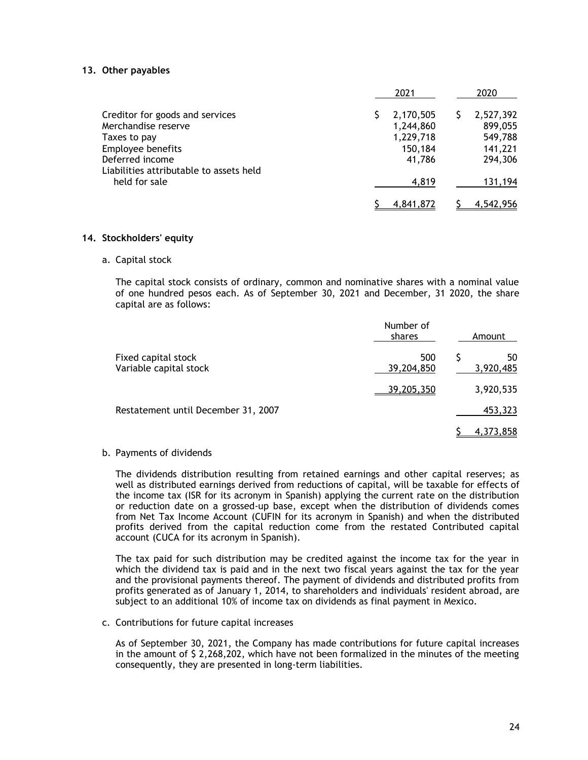### **13. Other payables**

|                                                            | 2021      | 2020      |
|------------------------------------------------------------|-----------|-----------|
| Creditor for goods and services                            | 2,170,505 | 2,527,392 |
| Merchandise reserve                                        | 1,244,860 | 899,055   |
| Taxes to pay                                               | 1,229,718 | 549,788   |
| Employee benefits                                          | 150,184   | 141,221   |
| Deferred income<br>Liabilities attributable to assets held | 41.786    | 294,306   |
| held for sale                                              | 4,819     | 131,194   |
|                                                            | 4,841,872 | 4,542,956 |

### **14. Stockholders' equity**

a. Capital stock

The capital stock consists of ordinary, common and nominative shares with a nominal value of one hundred pesos each. As of September 30, 2021 and December, 31 2020, the share capital are as follows:

|                                               | Number of<br>shares | Amount          |
|-----------------------------------------------|---------------------|-----------------|
| Fixed capital stock<br>Variable capital stock | 500<br>39,204,850   | 50<br>3,920,485 |
|                                               | 39,205,350          | 3,920,535       |
| Restatement until December 31, 2007           |                     | 453,323         |
|                                               |                     | 4,373,858       |

b. Payments of dividends

The dividends distribution resulting from retained earnings and other capital reserves; as well as distributed earnings derived from reductions of capital, will be taxable for effects of the income tax (ISR for its acronym in Spanish) applying the current rate on the distribution or reduction date on a grossed-up base, except when the distribution of dividends comes from Net Tax Income Account (CUFIN for its acronym in Spanish) and when the distributed profits derived from the capital reduction come from the restated Contributed capital account (CUCA for its acronym in Spanish).

The tax paid for such distribution may be credited against the income tax for the year in which the dividend tax is paid and in the next two fiscal years against the tax for the year and the provisional payments thereof. The payment of dividends and distributed profits from profits generated as of January 1, 2014, to shareholders and individuals' resident abroad, are subject to an additional 10% of income tax on dividends as final payment in Mexico.

#### c. Contributions for future capital increases

As of September 30, 2021, the Company has made contributions for future capital increases in the amount of \$ 2,268,202, which have not been formalized in the minutes of the meeting consequently, they are presented in long-term liabilities.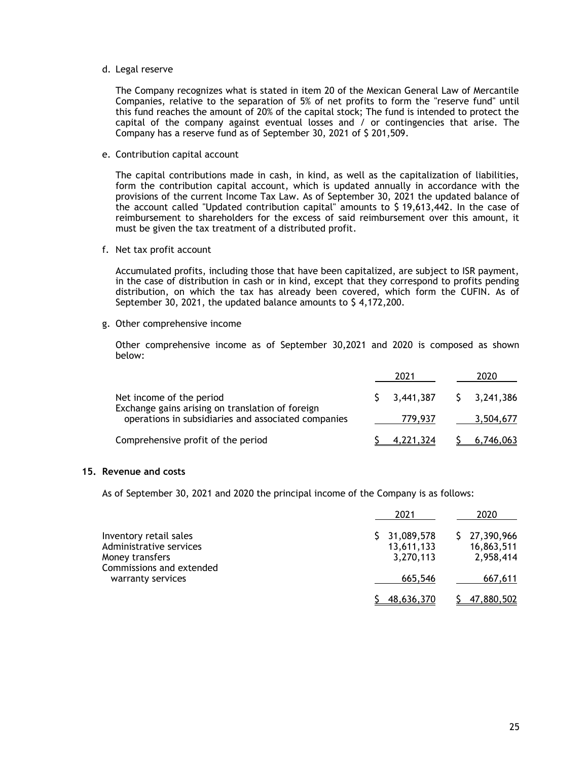### d. Legal reserve

The Company recognizes what is stated in item 20 of the Mexican General Law of Mercantile Companies, relative to the separation of 5% of net profits to form the "reserve fund" until this fund reaches the amount of 20% of the capital stock; The fund is intended to protect the capital of the company against eventual losses and / or contingencies that arise. The Company has a reserve fund as of September 30, 2021 of \$ 201,509.

e. Contribution capital account

The capital contributions made in cash, in kind, as well as the capitalization of liabilities, form the contribution capital account, which is updated annually in accordance with the provisions of the current Income Tax Law. As of September 30, 2021 the updated balance of the account called "Updated contribution capital" amounts to \$ 19,613,442. In the case of reimbursement to shareholders for the excess of said reimbursement over this amount, it must be given the tax treatment of a distributed profit.

f. Net tax profit account

Accumulated profits, including those that have been capitalized, are subject to ISR payment, in the case of distribution in cash or in kind, except that they correspond to profits pending distribution, on which the tax has already been covered, which form the CUFIN. As of September 30, 2021, the updated balance amounts to \$4,172,200.

g. Other comprehensive income

Other comprehensive income as of September 30,2021 and 2020 is composed as shown below:

|                                                                              | 2021                   | 2020      |
|------------------------------------------------------------------------------|------------------------|-----------|
| Net income of the period<br>Exchange gains arising on translation of foreign | 3,441,387 \$ 3,241,386 |           |
| operations in subsidiaries and associated companies                          | 779.937                | 3,504,677 |
| Comprehensive profit of the period                                           | 4.221.324              | 6.746.063 |

### **15. Revenue and costs**

As of September 30, 2021 and 2020 the principal income of the Company is as follows:

|                                                                      | 2021                                    | 2020                                    |
|----------------------------------------------------------------------|-----------------------------------------|-----------------------------------------|
| Inventory retail sales<br>Administrative services<br>Money transfers | \$31,089,578<br>13,611,133<br>3,270,113 | \$27,390,966<br>16,863,511<br>2,958,414 |
| Commissions and extended<br>warranty services                        | 665,546                                 | 667,611                                 |
|                                                                      | 48,636,370                              | 47,880,502                              |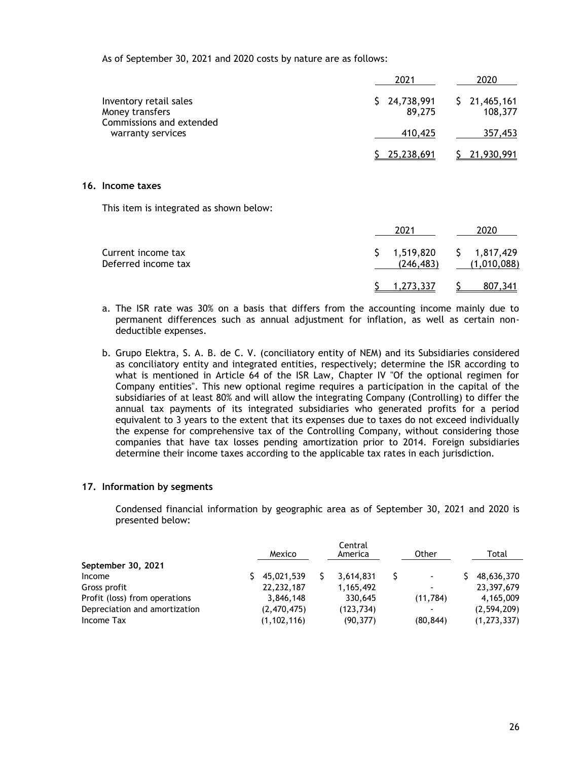As of September 30, 2021 and 2020 costs by nature are as follows:

|                                                                                            | 2021                          | 2020                          |
|--------------------------------------------------------------------------------------------|-------------------------------|-------------------------------|
| Inventory retail sales<br>Money transfers<br>Commissions and extended<br>warranty services | 24,738,991<br>\$.<br>89,275   | 21,465,161<br>Ş.<br>108,377   |
|                                                                                            | 410,425                       | 357,453                       |
|                                                                                            | 25,238,691                    | 21,930,991                    |
| Income taxes                                                                               |                               |                               |
| This item is integrated as shown below:                                                    |                               |                               |
|                                                                                            | 2021                          | 2020                          |
| Current income tax<br>Deferred income tax                                                  | \$<br>1,519,820<br>(246, 483) | 1,817,429<br>S<br>(1,010,088) |
|                                                                                            | 1,273,337<br>S                | 807,341<br>S                  |

- a. The ISR rate was 30% on a basis that differs from the accounting income mainly due to permanent differences such as annual adjustment for inflation, as well as certain nondeductible expenses.
- b. Grupo Elektra, S. A. B. de C. V. (conciliatory entity of NEM) and its Subsidiaries considered as conciliatory entity and integrated entities, respectively; determine the ISR according to what is mentioned in Article 64 of the ISR Law, Chapter IV "Of the optional regimen for Company entities". This new optional regime requires a participation in the capital of the subsidiaries of at least 80% and will allow the integrating Company (Controlling) to differ the annual tax payments of its integrated subsidiaries who generated profits for a period equivalent to 3 years to the extent that its expenses due to taxes do not exceed individually the expense for comprehensive tax of the Controlling Company, without considering those companies that have tax losses pending amortization prior to 2014. Foreign subsidiaries determine their income taxes according to the applicable tax rates in each jurisdiction.

### **17. Information by segments**

**16.** 

Condensed financial information by geographic area as of September 30, 2021 and 2020 is presented below:

|                               | Mexico        | Central<br>America | Other                    | Total         |
|-------------------------------|---------------|--------------------|--------------------------|---------------|
| September 30, 2021            |               |                    |                          |               |
| Income                        | 45,021,539    | 3,614,831          | $\blacksquare$           | 48,636,370    |
| Gross profit                  | 22, 232, 187  | 1,165,492          | $\blacksquare$           | 23,397,679    |
| Profit (loss) from operations | 3,846,148     | 330,645            | (11,784)                 | 4,165,009     |
| Depreciation and amortization | (2,470,475)   | (123, 734)         | $\overline{\phantom{a}}$ | (2,594,209)   |
| Income Tax                    | (1, 102, 116) | (90, 377)          | (80, 844)                | (1, 273, 337) |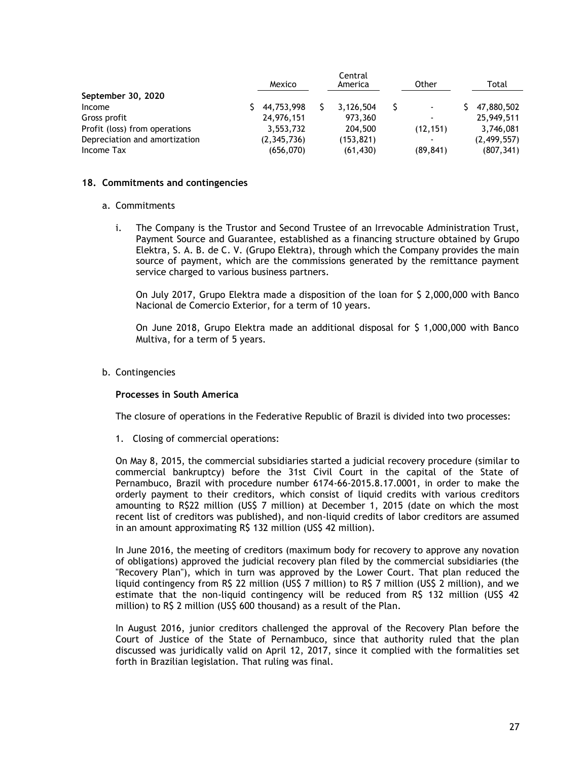|                               | Mexico      | Central<br>America | Other                    | Total       |
|-------------------------------|-------------|--------------------|--------------------------|-------------|
| September 30, 2020            |             |                    |                          |             |
| Income                        | 44,753,998  | 3,126,504          | $\blacksquare$           | 47,880,502  |
| Gross profit                  | 24,976,151  | 973,360            | $\blacksquare$           | 25,949,511  |
| Profit (loss) from operations | 3,553,732   | 204,500            | (12, 151)                | 3,746,081   |
| Depreciation and amortization | (2,345,736) | (153, 821)         | $\overline{\phantom{a}}$ | (2,499,557) |
| Income Tax                    | (656,070)   | (61, 430)          | (89, 841)                | (807, 341)  |

### **18. Commitments and contingencies**

#### a. Commitments

i. The Company is the Trustor and Second Trustee of an Irrevocable Administration Trust, Payment Source and Guarantee, established as a financing structure obtained by Grupo Elektra, S. A. B. de C. V. (Grupo Elektra), through which the Company provides the main source of payment, which are the commissions generated by the remittance payment service charged to various business partners.

On July 2017, Grupo Elektra made a disposition of the loan for \$ 2,000,000 with Banco Nacional de Comercio Exterior, for a term of 10 years.

On June 2018, Grupo Elektra made an additional disposal for \$ 1,000,000 with Banco Multiva, for a term of 5 years.

### b. Contingencies

### **Processes in South America**

The closure of operations in the Federative Republic of Brazil is divided into two processes:

1. Closing of commercial operations:

On May 8, 2015, the commercial subsidiaries started a judicial recovery procedure (similar to commercial bankruptcy) before the 31st Civil Court in the capital of the State of Pernambuco, Brazil with procedure number 6174-66-2015.8.17.0001, in order to make the orderly payment to their creditors, which consist of liquid credits with various creditors amounting to R\$22 million (US\$ 7 million) at December 1, 2015 (date on which the most recent list of creditors was published), and non-liquid credits of labor creditors are assumed in an amount approximating R\$ 132 million (US\$ 42 million).

In June 2016, the meeting of creditors (maximum body for recovery to approve any novation of obligations) approved the judicial recovery plan filed by the commercial subsidiaries (the "Recovery Plan"), which in turn was approved by the Lower Court. That plan reduced the liquid contingency from R\$ 22 million (US\$ 7 million) to R\$ 7 million (US\$ 2 million), and we estimate that the non-liquid contingency will be reduced from R\$ 132 million (US\$ 42 million) to R\$ 2 million (US\$ 600 thousand) as a result of the Plan.

In August 2016, junior creditors challenged the approval of the Recovery Plan before the Court of Justice of the State of Pernambuco, since that authority ruled that the plan discussed was juridically valid on April 12, 2017, since it complied with the formalities set forth in Brazilian legislation. That ruling was final.